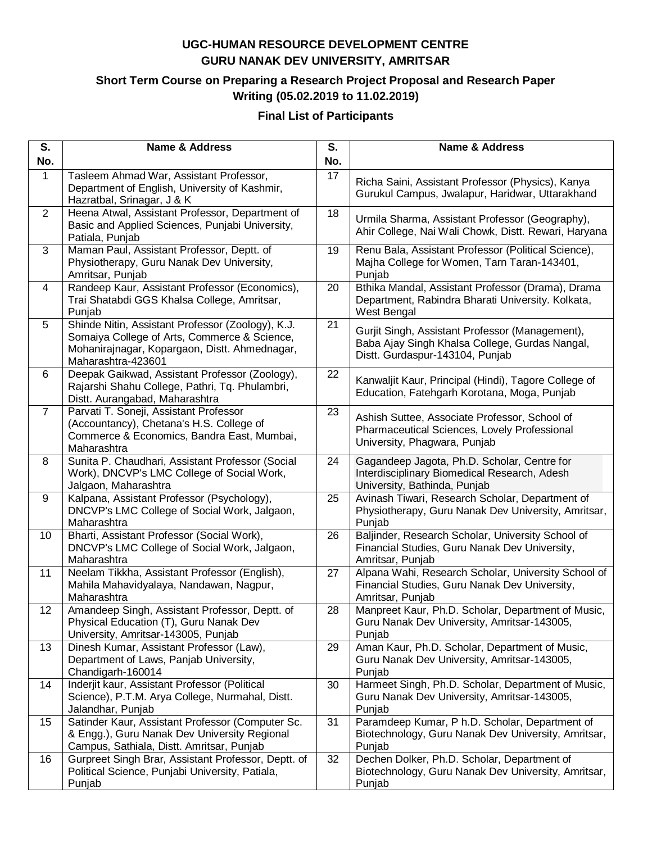### **Short Term Course on Preparing a Research Project Proposal and Research Paper Writing (05.02.2019 to 11.02.2019)**

#### **Final List of Participants**

| S.                | <b>Name &amp; Address</b>                                                                                                                                                | S.  | <b>Name &amp; Address</b>                                                                                                            |
|-------------------|--------------------------------------------------------------------------------------------------------------------------------------------------------------------------|-----|--------------------------------------------------------------------------------------------------------------------------------------|
| No.               |                                                                                                                                                                          | No. |                                                                                                                                      |
| $\mathbf 1$       | Tasleem Ahmad War, Assistant Professor,<br>Department of English, University of Kashmir,<br>Hazratbal, Srinagar, J & K                                                   | 17  | Richa Saini, Assistant Professor (Physics), Kanya<br>Gurukul Campus, Jwalapur, Haridwar, Uttarakhand                                 |
| $\overline{2}$    | Heena Atwal, Assistant Professor, Department of<br>Basic and Applied Sciences, Punjabi University,<br>Patiala, Punjab                                                    | 18  | Urmila Sharma, Assistant Professor (Geography),<br>Ahir College, Nai Wali Chowk, Distt. Rewari, Haryana                              |
| 3                 | Maman Paul, Assistant Professor, Deptt. of<br>Physiotherapy, Guru Nanak Dev University,<br>Amritsar, Punjab                                                              | 19  | Renu Bala, Assistant Professor (Political Science),<br>Majha College for Women, Tarn Taran-143401,<br>Punjab                         |
| $\overline{4}$    | Randeep Kaur, Assistant Professor (Economics),<br>Trai Shatabdi GGS Khalsa College, Amritsar,<br>Punjab                                                                  | 20  | Bthika Mandal, Assistant Professor (Drama), Drama<br>Department, Rabindra Bharati University. Kolkata,<br>West Bengal                |
| 5                 | Shinde Nitin, Assistant Professor (Zoology), K.J.<br>Somaiya College of Arts, Commerce & Science,<br>Mohanirajnagar, Kopargaon, Distt. Ahmednagar,<br>Maharashtra-423601 | 21  | Gurjit Singh, Assistant Professor (Management),<br>Baba Ajay Singh Khalsa College, Gurdas Nangal,<br>Distt. Gurdaspur-143104, Punjab |
| 6                 | Deepak Gaikwad, Assistant Professor (Zoology),<br>Rajarshi Shahu College, Pathri, Tq. Phulambri,<br>Distt. Aurangabad, Maharashtra                                       | 22  | Kanwaljit Kaur, Principal (Hindi), Tagore College of<br>Education, Fatehgarh Korotana, Moga, Punjab                                  |
| $\overline{7}$    | Parvati T. Soneji, Assistant Professor<br>(Accountancy), Chetana's H.S. College of<br>Commerce & Economics, Bandra East, Mumbai,<br>Maharashtra                          | 23  | Ashish Suttee, Associate Professor, School of<br>Pharmaceutical Sciences, Lovely Professional<br>University, Phagwara, Punjab        |
| 8                 | Sunita P. Chaudhari, Assistant Professor (Social<br>Work), DNCVP's LMC College of Social Work,<br>Jalgaon, Maharashtra                                                   | 24  | Gagandeep Jagota, Ph.D. Scholar, Centre for<br>Interdisciplinary Biomedical Research, Adesh<br>University, Bathinda, Punjab          |
| 9                 | Kalpana, Assistant Professor (Psychology),<br>DNCVP's LMC College of Social Work, Jalgaon,<br>Maharashtra                                                                | 25  | Avinash Tiwari, Research Scholar, Department of<br>Physiotherapy, Guru Nanak Dev University, Amritsar,<br>Punjab                     |
| 10                | Bharti, Assistant Professor (Social Work),<br>DNCVP's LMC College of Social Work, Jalgaon,<br>Maharashtra                                                                | 26  | Baljinder, Research Scholar, University School of<br>Financial Studies, Guru Nanak Dev University,<br>Amritsar, Punjab               |
| 11                | Neelam Tikkha, Assistant Professor (English),<br>Mahila Mahavidyalaya, Nandawan, Nagpur,<br>Maharashtra                                                                  | 27  | Alpana Wahi, Research Scholar, University School of<br>Financial Studies, Guru Nanak Dev University,<br>Amritsar, Punjab             |
| $12 \overline{ }$ | Amandeep Singh, Assistant Professor, Deptt. of<br>Physical Education (T), Guru Nanak Dev<br>University, Amritsar-143005, Punjab                                          | 28  | Manpreet Kaur, Ph.D. Scholar, Department of Music,<br>Guru Nanak Dev University, Amritsar-143005,<br>Punjab                          |
| 13                | Dinesh Kumar, Assistant Professor (Law),<br>Department of Laws, Panjab University,<br>Chandigarh-160014                                                                  | 29  | Aman Kaur, Ph.D. Scholar, Department of Music,<br>Guru Nanak Dev University, Amritsar-143005,<br>Punjab                              |
| 14                | Inderjit kaur, Assistant Professor (Political<br>Science), P.T.M. Arya College, Nurmahal, Distt.<br>Jalandhar, Punjab                                                    | 30  | Harmeet Singh, Ph.D. Scholar, Department of Music,<br>Guru Nanak Dev University, Amritsar-143005,<br>Punjab                          |
| 15                | Satinder Kaur, Assistant Professor (Computer Sc.<br>& Engg.), Guru Nanak Dev University Regional<br>Campus, Sathiala, Distt. Amritsar, Punjab                            | 31  | Paramdeep Kumar, P h.D. Scholar, Department of<br>Biotechnology, Guru Nanak Dev University, Amritsar,<br>Punjab                      |
| 16                | Gurpreet Singh Brar, Assistant Professor, Deptt. of<br>Political Science, Punjabi University, Patiala,<br>Punjab                                                         | 32  | Dechen Dolker, Ph.D. Scholar, Department of<br>Biotechnology, Guru Nanak Dev University, Amritsar,<br>Punjab                         |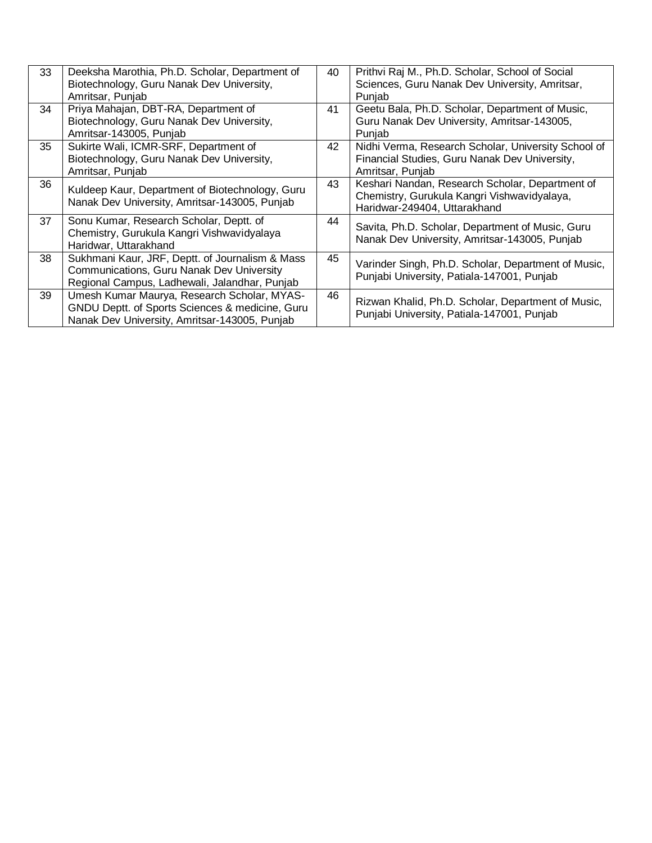| 33 | Deeksha Marothia, Ph.D. Scholar, Department of                                                                                                  | 40 | Prithvi Raj M., Ph.D. Scholar, School of Social                                                                                |
|----|-------------------------------------------------------------------------------------------------------------------------------------------------|----|--------------------------------------------------------------------------------------------------------------------------------|
|    | Biotechnology, Guru Nanak Dev University,                                                                                                       |    | Sciences, Guru Nanak Dev University, Amritsar,                                                                                 |
|    | Amritsar, Punjab                                                                                                                                |    | Punjab                                                                                                                         |
| 34 | Priya Mahajan, DBT-RA, Department of                                                                                                            | 41 | Geetu Bala, Ph.D. Scholar, Department of Music,                                                                                |
|    | Biotechnology, Guru Nanak Dev University,                                                                                                       |    | Guru Nanak Dev University, Amritsar-143005,                                                                                    |
|    | Amritsar-143005, Punjab                                                                                                                         |    | Punjab                                                                                                                         |
| 35 | Sukirte Wali, ICMR-SRF, Department of                                                                                                           | 42 | Nidhi Verma, Research Scholar, University School of                                                                            |
|    | Biotechnology, Guru Nanak Dev University,                                                                                                       |    | Financial Studies, Guru Nanak Dev University,                                                                                  |
|    | Amritsar, Punjab                                                                                                                                |    | Amritsar, Punjab                                                                                                               |
| 36 | Kuldeep Kaur, Department of Biotechnology, Guru<br>Nanak Dev University, Amritsar-143005, Punjab                                                | 43 | Keshari Nandan, Research Scholar, Department of<br>Chemistry, Gurukula Kangri Vishwavidyalaya,<br>Haridwar-249404, Uttarakhand |
| 37 | Sonu Kumar, Research Scholar, Deptt. of<br>Chemistry, Gurukula Kangri Vishwavidyalaya<br>Haridwar, Uttarakhand                                  | 44 | Savita, Ph.D. Scholar, Department of Music, Guru<br>Nanak Dev University, Amritsar-143005, Punjab                              |
| 38 | Sukhmani Kaur, JRF, Deptt. of Journalism & Mass<br>Communications, Guru Nanak Dev University<br>Regional Campus, Ladhewali, Jalandhar, Punjab   | 45 | Varinder Singh, Ph.D. Scholar, Department of Music,<br>Punjabi University, Patiala-147001, Punjab                              |
| 39 | Umesh Kumar Maurya, Research Scholar, MYAS-<br>GNDU Deptt. of Sports Sciences & medicine, Guru<br>Nanak Dev University, Amritsar-143005, Punjab | 46 | Rizwan Khalid, Ph.D. Scholar, Department of Music,<br>Punjabi University, Patiala-147001, Punjab                               |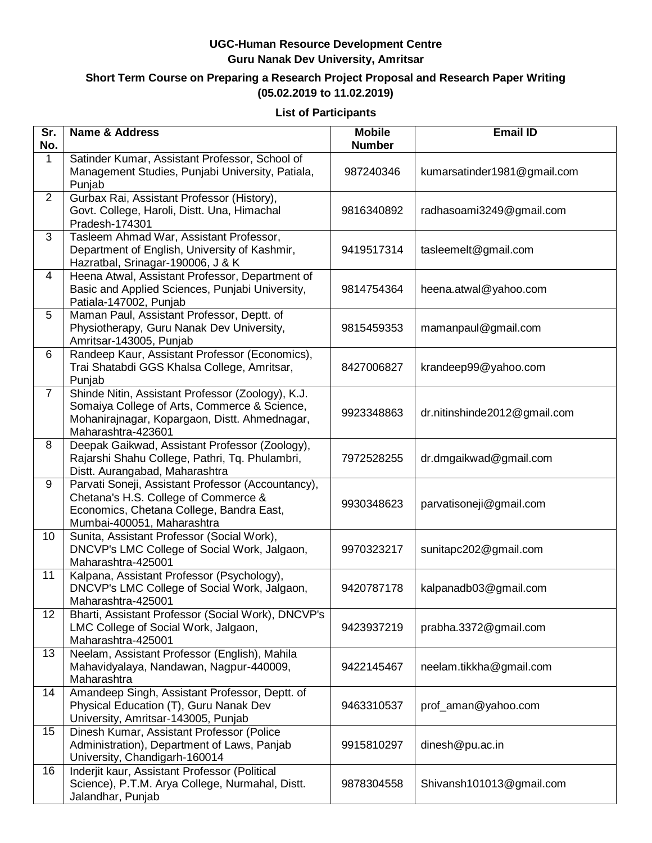#### **Short Term Course on Preparing a Research Project Proposal and Research Paper Writing (05.02.2019 to 11.02.2019)**

#### **List of Participants**

| Sr.<br>No.     | <b>Name &amp; Address</b>                                                                                                                                                | <b>Mobile</b><br><b>Number</b> | <b>Email ID</b>              |
|----------------|--------------------------------------------------------------------------------------------------------------------------------------------------------------------------|--------------------------------|------------------------------|
| 1              | Satinder Kumar, Assistant Professor, School of<br>Management Studies, Punjabi University, Patiala,<br>Punjab                                                             | 987240346                      | kumarsatinder1981@gmail.com  |
| $\overline{2}$ | Gurbax Rai, Assistant Professor (History),<br>Govt. College, Haroli, Distt. Una, Himachal<br>Pradesh-174301                                                              | 9816340892                     | radhasoami3249@gmail.com     |
| 3              | Tasleem Ahmad War, Assistant Professor,<br>Department of English, University of Kashmir,<br>Hazratbal, Srinagar-190006, J & K                                            | 9419517314                     | tasleemelt@gmail.com         |
| 4              | Heena Atwal, Assistant Professor, Department of<br>Basic and Applied Sciences, Punjabi University,<br>Patiala-147002, Punjab                                             | 9814754364                     | heena.atwal@yahoo.com        |
| 5              | Maman Paul, Assistant Professor, Deptt. of<br>Physiotherapy, Guru Nanak Dev University,<br>Amritsar-143005, Punjab                                                       | 9815459353                     | mamanpaul@gmail.com          |
| 6              | Randeep Kaur, Assistant Professor (Economics),<br>Trai Shatabdi GGS Khalsa College, Amritsar,<br>Punjab                                                                  | 8427006827                     | krandeep99@yahoo.com         |
| $\overline{7}$ | Shinde Nitin, Assistant Professor (Zoology), K.J.<br>Somaiya College of Arts, Commerce & Science,<br>Mohanirajnagar, Kopargaon, Distt. Ahmednagar,<br>Maharashtra-423601 | 9923348863                     | dr.nitinshinde2012@gmail.com |
| 8              | Deepak Gaikwad, Assistant Professor (Zoology),<br>Rajarshi Shahu College, Pathri, Tq. Phulambri,<br>Distt. Aurangabad, Maharashtra                                       | 7972528255                     | dr.dmgaikwad@gmail.com       |
| 9              | Parvati Soneji, Assistant Professor (Accountancy),<br>Chetana's H.S. College of Commerce &<br>Economics, Chetana College, Bandra East,<br>Mumbai-400051, Maharashtra     | 9930348623                     | parvatisoneji@gmail.com      |
| 10             | Sunita, Assistant Professor (Social Work),<br>DNCVP's LMC College of Social Work, Jalgaon,<br>Maharashtra-425001                                                         | 9970323217                     | sunitapc202@gmail.com        |
| 11             | Kalpana, Assistant Professor (Psychology),<br>DNCVP's LMC College of Social Work, Jalgaon,<br>Maharashtra-425001                                                         | 9420787178                     | kalpanadb03@gmail.com        |
| 12             | Bharti, Assistant Professor (Social Work), DNCVP's<br>LMC College of Social Work, Jalgaon,<br>Maharashtra-425001                                                         | 9423937219                     | prabha.3372@gmail.com        |
| 13             | Neelam, Assistant Professor (English), Mahila<br>Mahavidyalaya, Nandawan, Nagpur-440009,<br>Maharashtra                                                                  | 9422145467                     | neelam.tikkha@gmail.com      |
| 14             | Amandeep Singh, Assistant Professor, Deptt. of<br>Physical Education (T), Guru Nanak Dev<br>University, Amritsar-143005, Punjab                                          | 9463310537                     | prof_aman@yahoo.com          |
| 15             | Dinesh Kumar, Assistant Professor (Police<br>Administration), Department of Laws, Panjab<br>University, Chandigarh-160014                                                | 9915810297                     | dinesh@pu.ac.in              |
| 16             | Inderjit kaur, Assistant Professor (Political<br>Science), P.T.M. Arya College, Nurmahal, Distt.<br>Jalandhar, Punjab                                                    | 9878304558                     | Shivansh101013@gmail.com     |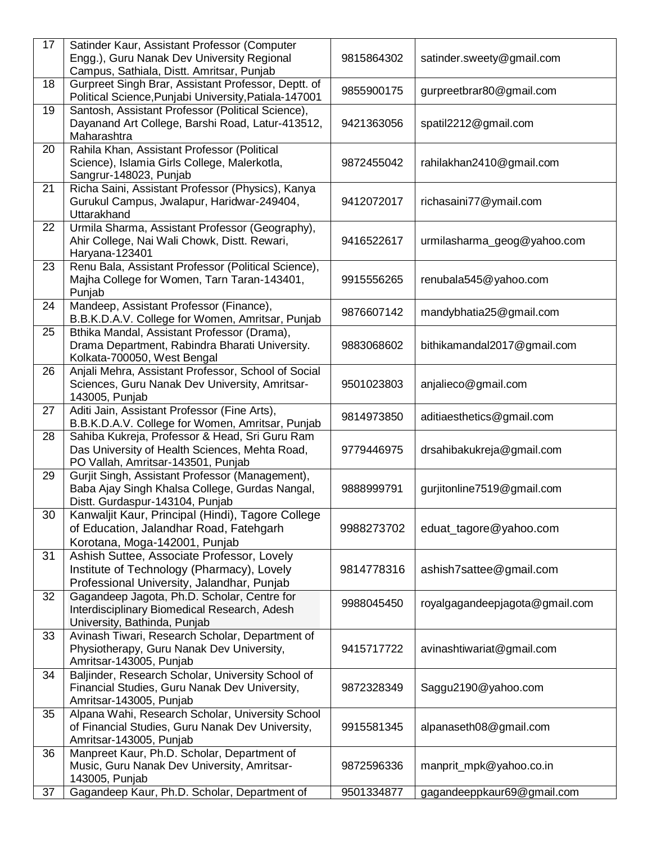| 17 | Satinder Kaur, Assistant Professor (Computer<br>Engg.), Guru Nanak Dev University Regional<br>Campus, Sathiala, Distt. Amritsar, Punjab | 9815864302 | satinder.sweety@gmail.com      |
|----|-----------------------------------------------------------------------------------------------------------------------------------------|------------|--------------------------------|
| 18 | Gurpreet Singh Brar, Assistant Professor, Deptt. of<br>Political Science, Punjabi University, Patiala-147001                            | 9855900175 | gurpreetbrar80@gmail.com       |
| 19 | Santosh, Assistant Professor (Political Science),<br>Dayanand Art College, Barshi Road, Latur-413512,<br>Maharashtra                    | 9421363056 | spatil2212@gmail.com           |
| 20 | Rahila Khan, Assistant Professor (Political<br>Science), Islamia Girls College, Malerkotla,<br>Sangrur-148023, Punjab                   | 9872455042 | rahilakhan2410@gmail.com       |
| 21 | Richa Saini, Assistant Professor (Physics), Kanya<br>Gurukul Campus, Jwalapur, Haridwar-249404,<br>Uttarakhand                          | 9412072017 | richasaini77@ymail.com         |
| 22 | Urmila Sharma, Assistant Professor (Geography),<br>Ahir College, Nai Wali Chowk, Distt. Rewari,<br>Haryana-123401                       | 9416522617 | urmilasharma_geog@yahoo.com    |
| 23 | Renu Bala, Assistant Professor (Political Science),<br>Majha College for Women, Tarn Taran-143401,<br>Punjab                            | 9915556265 | renubala545@yahoo.com          |
| 24 | Mandeep, Assistant Professor (Finance),<br>B.B.K.D.A.V. College for Women, Amritsar, Punjab                                             | 9876607142 | mandybhatia25@gmail.com        |
| 25 | Bthika Mandal, Assistant Professor (Drama),<br>Drama Department, Rabindra Bharati University.<br>Kolkata-700050, West Bengal            | 9883068602 | bithikamandal2017@gmail.com    |
| 26 | Anjali Mehra, Assistant Professor, School of Social<br>Sciences, Guru Nanak Dev University, Amritsar-<br>143005, Punjab                 | 9501023803 | anjalieco@gmail.com            |
| 27 | Aditi Jain, Assistant Professor (Fine Arts),<br>B.B.K.D.A.V. College for Women, Amritsar, Punjab                                        | 9814973850 | aditiaesthetics@gmail.com      |
| 28 | Sahiba Kukreja, Professor & Head, Sri Guru Ram<br>Das University of Health Sciences, Mehta Road,<br>PO Vallah, Amritsar-143501, Punjab  | 9779446975 | drsahibakukreja@gmail.com      |
| 29 | Gurjit Singh, Assistant Professor (Management),<br>Baba Ajay Singh Khalsa College, Gurdas Nangal,<br>Distt. Gurdaspur-143104, Punjab    | 9888999791 | gurjitonline7519@gmail.com     |
| 30 | Kanwaljit Kaur, Principal (Hindi), Tagore College<br>of Education, Jalandhar Road, Fatehgarh<br>Korotana, Moga-142001, Punjab           | 9988273702 | eduat_tagore@yahoo.com         |
| 31 | Ashish Suttee, Associate Professor, Lovely<br>Institute of Technology (Pharmacy), Lovely<br>Professional University, Jalandhar, Punjab  | 9814778316 | ashish7sattee@gmail.com        |
| 32 | Gagandeep Jagota, Ph.D. Scholar, Centre for<br>Interdisciplinary Biomedical Research, Adesh<br>University, Bathinda, Punjab             | 9988045450 | royalgagandeepjagota@gmail.com |
| 33 | Avinash Tiwari, Research Scholar, Department of<br>Physiotherapy, Guru Nanak Dev University,<br>Amritsar-143005, Punjab                 | 9415717722 | avinashtiwariat@gmail.com      |
| 34 | Baljinder, Research Scholar, University School of<br>Financial Studies, Guru Nanak Dev University,<br>Amritsar-143005, Punjab           | 9872328349 | Saggu2190@yahoo.com            |
| 35 | Alpana Wahi, Research Scholar, University School<br>of Financial Studies, Guru Nanak Dev University,<br>Amritsar-143005, Punjab         | 9915581345 | alpanaseth08@gmail.com         |
| 36 | Manpreet Kaur, Ph.D. Scholar, Department of<br>Music, Guru Nanak Dev University, Amritsar-<br>143005, Punjab                            | 9872596336 | manprit_mpk@yahoo.co.in        |
| 37 | Gagandeep Kaur, Ph.D. Scholar, Department of                                                                                            | 9501334877 | gagandeeppkaur69@gmail.com     |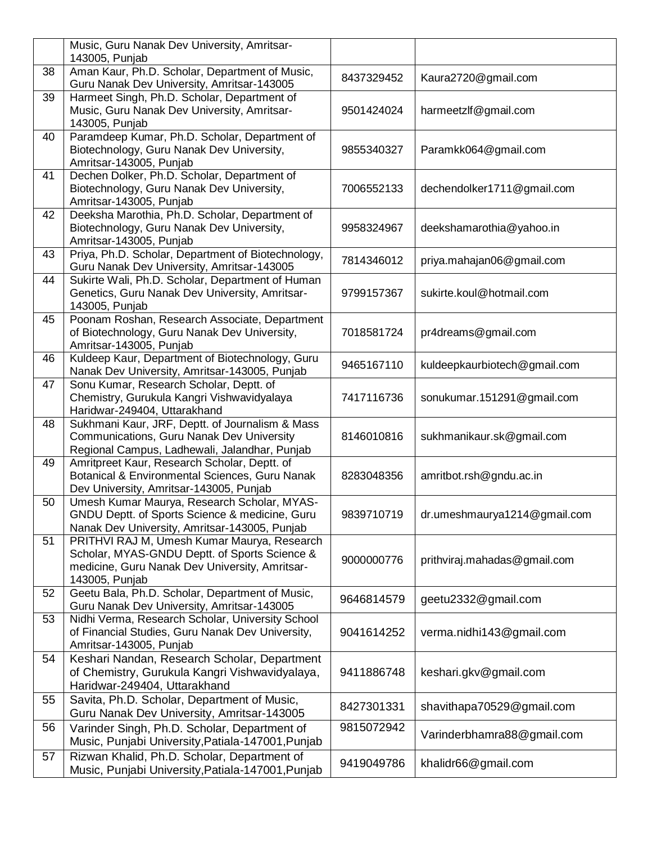|                 | Music, Guru Nanak Dev University, Amritsar-<br>143005, Punjab                                    |            |                              |
|-----------------|--------------------------------------------------------------------------------------------------|------------|------------------------------|
| 38              | Aman Kaur, Ph.D. Scholar, Department of Music,                                                   |            |                              |
|                 | Guru Nanak Dev University, Amritsar-143005                                                       | 8437329452 | Kaura2720@gmail.com          |
| $\overline{39}$ | Harmeet Singh, Ph.D. Scholar, Department of                                                      |            |                              |
|                 | Music, Guru Nanak Dev University, Amritsar-                                                      | 9501424024 | harmeetzlf@gmail.com         |
|                 | 143005, Punjab                                                                                   |            |                              |
| 40              | Paramdeep Kumar, Ph.D. Scholar, Department of                                                    |            |                              |
|                 | Biotechnology, Guru Nanak Dev University,                                                        | 9855340327 | Paramkk064@gmail.com         |
|                 | Amritsar-143005, Punjab                                                                          |            |                              |
| 41              | Dechen Dolker, Ph.D. Scholar, Department of                                                      |            |                              |
|                 | Biotechnology, Guru Nanak Dev University,                                                        | 7006552133 | dechendolker1711@gmail.com   |
|                 | Amritsar-143005, Punjab                                                                          |            |                              |
| 42              | Deeksha Marothia, Ph.D. Scholar, Department of                                                   |            |                              |
|                 | Biotechnology, Guru Nanak Dev University,                                                        | 9958324967 | deekshamarothia@yahoo.in     |
|                 | Amritsar-143005, Punjab                                                                          |            |                              |
| 43              | Priya, Ph.D. Scholar, Department of Biotechnology,<br>Guru Nanak Dev University, Amritsar-143005 | 7814346012 | priya.mahajan06@gmail.com    |
| 44              | Sukirte Wali, Ph.D. Scholar, Department of Human                                                 |            |                              |
|                 | Genetics, Guru Nanak Dev University, Amritsar-                                                   | 9799157367 | sukirte.koul@hotmail.com     |
|                 | 143005, Punjab                                                                                   |            |                              |
| 45              | Poonam Roshan, Research Associate, Department                                                    |            |                              |
|                 | of Biotechnology, Guru Nanak Dev University,                                                     | 7018581724 | pr4dreams@gmail.com          |
|                 | Amritsar-143005, Punjab                                                                          |            |                              |
| 46              | Kuldeep Kaur, Department of Biotechnology, Guru                                                  | 9465167110 | kuldeepkaurbiotech@gmail.com |
|                 | Nanak Dev University, Amritsar-143005, Punjab                                                    |            |                              |
| 47              | Sonu Kumar, Research Scholar, Deptt. of                                                          |            |                              |
|                 | Chemistry, Gurukula Kangri Vishwavidyalaya                                                       | 7417116736 | sonukumar.151291@gmail.com   |
|                 | Haridwar-249404, Uttarakhand                                                                     |            |                              |
| 48              | Sukhmani Kaur, JRF, Deptt. of Journalism & Mass                                                  |            |                              |
|                 | Communications, Guru Nanak Dev University                                                        | 8146010816 | sukhmanikaur.sk@gmail.com    |
| 49              | Regional Campus, Ladhewali, Jalandhar, Punjab<br>Amritpreet Kaur, Research Scholar, Deptt. of    |            |                              |
|                 | Botanical & Environmental Sciences, Guru Nanak                                                   | 8283048356 | amritbot.rsh@gndu.ac.in      |
|                 | Dev University, Amritsar-143005, Punjab                                                          |            |                              |
| 50              | Umesh Kumar Maurya, Research Scholar, MYAS-                                                      |            |                              |
|                 | GNDU Deptt. of Sports Science & medicine, Guru                                                   | 9839710719 | dr.umeshmaurya1214@gmail.com |
|                 | Nanak Dev University, Amritsar-143005, Punjab                                                    |            |                              |
| 51              | PRITHVI RAJ M, Umesh Kumar Maurya, Research                                                      |            |                              |
|                 | Scholar, MYAS-GNDU Deptt. of Sports Science &                                                    | 9000000776 | prithviraj.mahadas@gmail.com |
|                 | medicine, Guru Nanak Dev University, Amritsar-                                                   |            |                              |
|                 | 143005, Punjab                                                                                   |            |                              |
| 52              | Geetu Bala, Ph.D. Scholar, Department of Music,                                                  | 9646814579 | geetu2332@gmail.com          |
|                 | Guru Nanak Dev University, Amritsar-143005                                                       |            |                              |
| 53              | Nidhi Verma, Research Scholar, University School                                                 |            |                              |
|                 | of Financial Studies, Guru Nanak Dev University,<br>Amritsar-143005, Punjab                      | 9041614252 | verma.nidhi143@gmail.com     |
| 54              | Keshari Nandan, Research Scholar, Department                                                     |            |                              |
|                 | of Chemistry, Gurukula Kangri Vishwavidyalaya,                                                   | 9411886748 | keshari.gkv@gmail.com        |
|                 | Haridwar-249404, Uttarakhand                                                                     |            |                              |
| 55              | Savita, Ph.D. Scholar, Department of Music,                                                      |            |                              |
|                 | Guru Nanak Dev University, Amritsar-143005                                                       | 8427301331 | shavithapa70529@gmail.com    |
| 56              | Varinder Singh, Ph.D. Scholar, Department of                                                     | 9815072942 |                              |
|                 | Music, Punjabi University, Patiala-147001, Punjab                                                |            | Varinderbhamra88@gmail.com   |
| 57              | Rizwan Khalid, Ph.D. Scholar, Department of                                                      |            |                              |
|                 | Music, Punjabi University, Patiala-147001, Punjab                                                | 9419049786 | khalidr66@gmail.com          |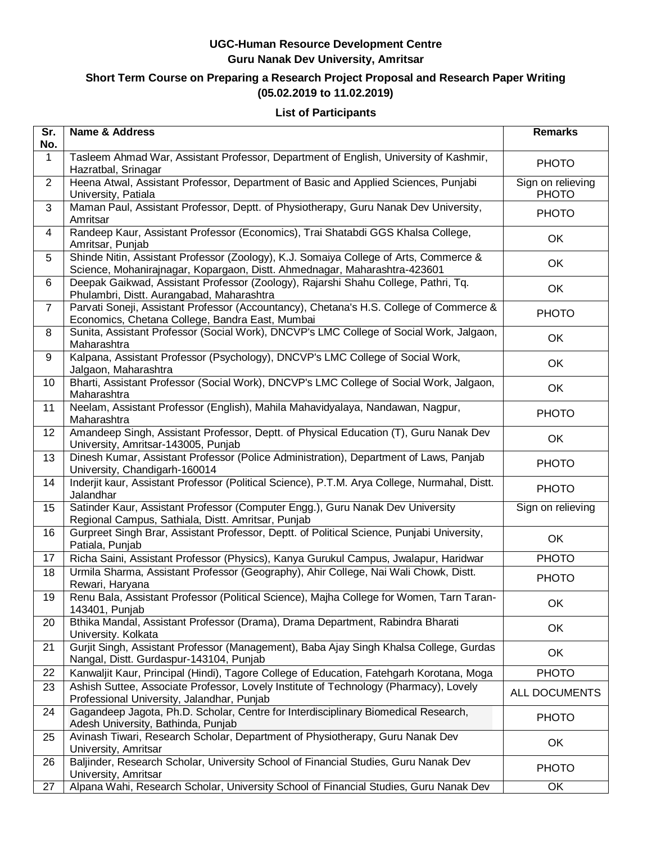### **Short Term Course on Preparing a Research Project Proposal and Research Paper Writing (05.02.2019 to 11.02.2019)**

#### **List of Participants**

| $\overline{\text{Sr.}}$<br>No. | <b>Name &amp; Address</b>                                                                                                                                          | <b>Remarks</b>                    |
|--------------------------------|--------------------------------------------------------------------------------------------------------------------------------------------------------------------|-----------------------------------|
| $\mathbf 1$                    | Tasleem Ahmad War, Assistant Professor, Department of English, University of Kashmir,<br>Hazratbal, Srinagar                                                       | <b>PHOTO</b>                      |
| $\overline{2}$                 | Heena Atwal, Assistant Professor, Department of Basic and Applied Sciences, Punjabi<br>University, Patiala                                                         | Sign on relieving<br><b>PHOTO</b> |
| 3                              | Maman Paul, Assistant Professor, Deptt. of Physiotherapy, Guru Nanak Dev University,<br>Amritsar                                                                   | <b>PHOTO</b>                      |
| $\overline{4}$                 | Randeep Kaur, Assistant Professor (Economics), Trai Shatabdi GGS Khalsa College,<br>Amritsar, Punjab                                                               | OK                                |
| 5                              | Shinde Nitin, Assistant Professor (Zoology), K.J. Somaiya College of Arts, Commerce &<br>Science, Mohanirajnagar, Kopargaon, Distt. Ahmednagar, Maharashtra-423601 | OK                                |
| 6                              | Deepak Gaikwad, Assistant Professor (Zoology), Rajarshi Shahu College, Pathri, Tq.<br>Phulambri, Distt. Aurangabad, Maharashtra                                    | OK                                |
| $\overline{7}$                 | Parvati Soneji, Assistant Professor (Accountancy), Chetana's H.S. College of Commerce &<br>Economics, Chetana College, Bandra East, Mumbai                         | <b>PHOTO</b>                      |
| $\, 8$                         | Sunita, Assistant Professor (Social Work), DNCVP's LMC College of Social Work, Jalgaon,<br>Maharashtra                                                             | OK                                |
| 9                              | Kalpana, Assistant Professor (Psychology), DNCVP's LMC College of Social Work,<br>Jalgaon, Maharashtra                                                             | OK                                |
| 10                             | Bharti, Assistant Professor (Social Work), DNCVP's LMC College of Social Work, Jalgaon,<br>Maharashtra                                                             | OK                                |
| 11                             | Neelam, Assistant Professor (English), Mahila Mahavidyalaya, Nandawan, Nagpur,<br>Maharashtra                                                                      | <b>PHOTO</b>                      |
| 12                             | Amandeep Singh, Assistant Professor, Deptt. of Physical Education (T), Guru Nanak Dev<br>University, Amritsar-143005, Punjab                                       | OK                                |
| 13                             | Dinesh Kumar, Assistant Professor (Police Administration), Department of Laws, Panjab<br>University, Chandigarh-160014                                             | <b>PHOTO</b>                      |
| 14                             | Inderjit kaur, Assistant Professor (Political Science), P.T.M. Arya College, Nurmahal, Distt.<br>Jalandhar                                                         | <b>PHOTO</b>                      |
| 15                             | Satinder Kaur, Assistant Professor (Computer Engg.), Guru Nanak Dev University<br>Regional Campus, Sathiala, Distt. Amritsar, Punjab                               | Sign on relieving                 |
| 16                             | Gurpreet Singh Brar, Assistant Professor, Deptt. of Political Science, Punjabi University,<br>Patiala, Punjab                                                      | OK                                |
| 17                             | Richa Saini, Assistant Professor (Physics), Kanya Gurukul Campus, Jwalapur, Haridwar                                                                               | <b>PHOTO</b>                      |
| 18                             | Urmila Sharma, Assistant Professor (Geography), Ahir College, Nai Wali Chowk, Distt.<br>Rewari, Haryana                                                            | <b>PHOTO</b>                      |
| 19                             | Renu Bala, Assistant Professor (Political Science), Majha College for Women, Tarn Taran-<br>143401, Punjab                                                         | OK                                |
| 20                             | Bthika Mandal, Assistant Professor (Drama), Drama Department, Rabindra Bharati<br>University. Kolkata                                                              | OK                                |
| 21                             | Gurjit Singh, Assistant Professor (Management), Baba Ajay Singh Khalsa College, Gurdas<br>Nangal, Distt. Gurdaspur-143104, Punjab                                  | OK                                |
| 22                             | Kanwaljit Kaur, Principal (Hindi), Tagore College of Education, Fatehgarh Korotana, Moga                                                                           | <b>PHOTO</b>                      |
| 23                             | Ashish Suttee, Associate Professor, Lovely Institute of Technology (Pharmacy), Lovely<br>Professional University, Jalandhar, Punjab                                | <b>ALL DOCUMENTS</b>              |
| 24                             | Gagandeep Jagota, Ph.D. Scholar, Centre for Interdisciplinary Biomedical Research,<br>Adesh University, Bathinda, Punjab                                           | <b>PHOTO</b>                      |
| 25                             | Avinash Tiwari, Research Scholar, Department of Physiotherapy, Guru Nanak Dev<br>University, Amritsar                                                              | OK                                |
| 26                             | Baljinder, Research Scholar, University School of Financial Studies, Guru Nanak Dev<br>University, Amritsar                                                        | <b>PHOTO</b>                      |
| 27                             | Alpana Wahi, Research Scholar, University School of Financial Studies, Guru Nanak Dev                                                                              | OK                                |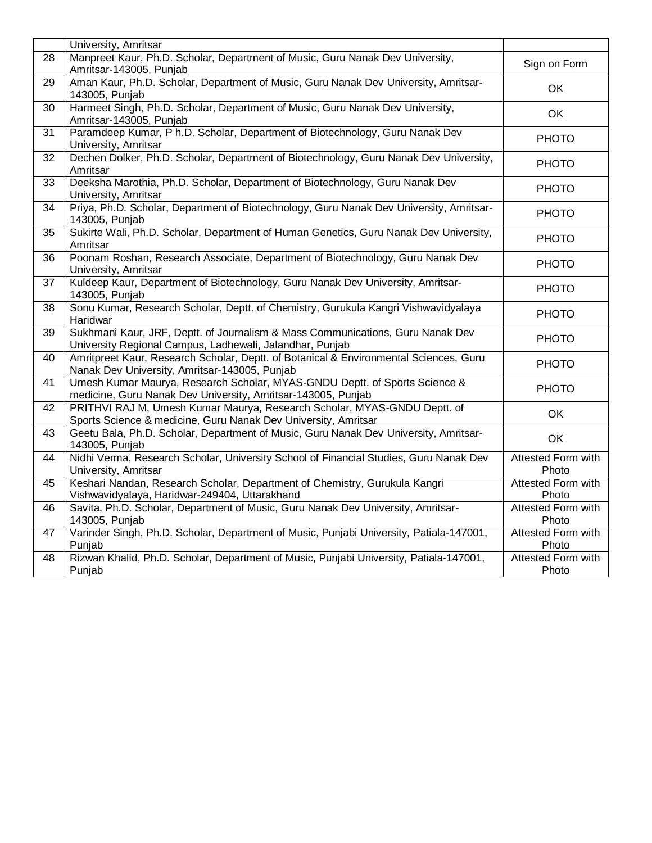|                 | University, Amritsar                                                                                                                       |                                    |
|-----------------|--------------------------------------------------------------------------------------------------------------------------------------------|------------------------------------|
| 28              | Manpreet Kaur, Ph.D. Scholar, Department of Music, Guru Nanak Dev University,<br>Amritsar-143005, Punjab                                   | Sign on Form                       |
| 29              | Aman Kaur, Ph.D. Scholar, Department of Music, Guru Nanak Dev University, Amritsar-<br>143005, Punjab                                      | OK                                 |
| $\overline{30}$ | Harmeet Singh, Ph.D. Scholar, Department of Music, Guru Nanak Dev University,<br>Amritsar-143005, Punjab                                   | <b>OK</b>                          |
| 31              | Paramdeep Kumar, P h.D. Scholar, Department of Biotechnology, Guru Nanak Dev<br>University, Amritsar                                       | <b>PHOTO</b>                       |
| $\overline{32}$ | Dechen Dolker, Ph.D. Scholar, Department of Biotechnology, Guru Nanak Dev University,<br>Amritsar                                          | <b>PHOTO</b>                       |
| 33              | Deeksha Marothia, Ph.D. Scholar, Department of Biotechnology, Guru Nanak Dev<br>University, Amritsar                                       | <b>PHOTO</b>                       |
| 34              | Priya, Ph.D. Scholar, Department of Biotechnology, Guru Nanak Dev University, Amritsar-<br>143005, Punjab                                  | <b>PHOTO</b>                       |
| 35              | Sukirte Wali, Ph.D. Scholar, Department of Human Genetics, Guru Nanak Dev University,<br>Amritsar                                          | <b>PHOTO</b>                       |
| 36              | Poonam Roshan, Research Associate, Department of Biotechnology, Guru Nanak Dev<br>University, Amritsar                                     | <b>PHOTO</b>                       |
| 37              | Kuldeep Kaur, Department of Biotechnology, Guru Nanak Dev University, Amritsar-<br>143005, Punjab                                          | <b>PHOTO</b>                       |
| 38              | Sonu Kumar, Research Scholar, Deptt. of Chemistry, Gurukula Kangri Vishwavidyalaya<br>Haridwar                                             | <b>PHOTO</b>                       |
| 39              | Sukhmani Kaur, JRF, Deptt. of Journalism & Mass Communications, Guru Nanak Dev<br>University Regional Campus, Ladhewali, Jalandhar, Punjab | <b>PHOTO</b>                       |
| 40              | Amritpreet Kaur, Research Scholar, Deptt. of Botanical & Environmental Sciences, Guru<br>Nanak Dev University, Amritsar-143005, Punjab     | <b>PHOTO</b>                       |
| $\overline{41}$ | Umesh Kumar Maurya, Research Scholar, MYAS-GNDU Deptt. of Sports Science &<br>medicine, Guru Nanak Dev University, Amritsar-143005, Punjab | <b>PHOTO</b>                       |
| 42              | PRITHVI RAJ M, Umesh Kumar Maurya, Research Scholar, MYAS-GNDU Deptt. of<br>Sports Science & medicine, Guru Nanak Dev University, Amritsar | OK                                 |
| 43              | Geetu Bala, Ph.D. Scholar, Department of Music, Guru Nanak Dev University, Amritsar-<br>143005, Punjab                                     | <b>OK</b>                          |
| 44              | Nidhi Verma, Research Scholar, University School of Financial Studies, Guru Nanak Dev<br>University, Amritsar                              | <b>Attested Form with</b><br>Photo |
| 45              | Keshari Nandan, Research Scholar, Department of Chemistry, Gurukula Kangri<br>Vishwavidyalaya, Haridwar-249404, Uttarakhand                | Attested Form with<br>Photo        |
| 46              | Savita, Ph.D. Scholar, Department of Music, Guru Nanak Dev University, Amritsar-<br>143005, Punjab                                         | <b>Attested Form with</b><br>Photo |
| 47              | Varinder Singh, Ph.D. Scholar, Department of Music, Punjabi University, Patiala-147001,<br>Punjab                                          | <b>Attested Form with</b><br>Photo |
| 48              | Rizwan Khalid, Ph.D. Scholar, Department of Music, Punjabi University, Patiala-147001,<br>Punjab                                           | <b>Attested Form with</b><br>Photo |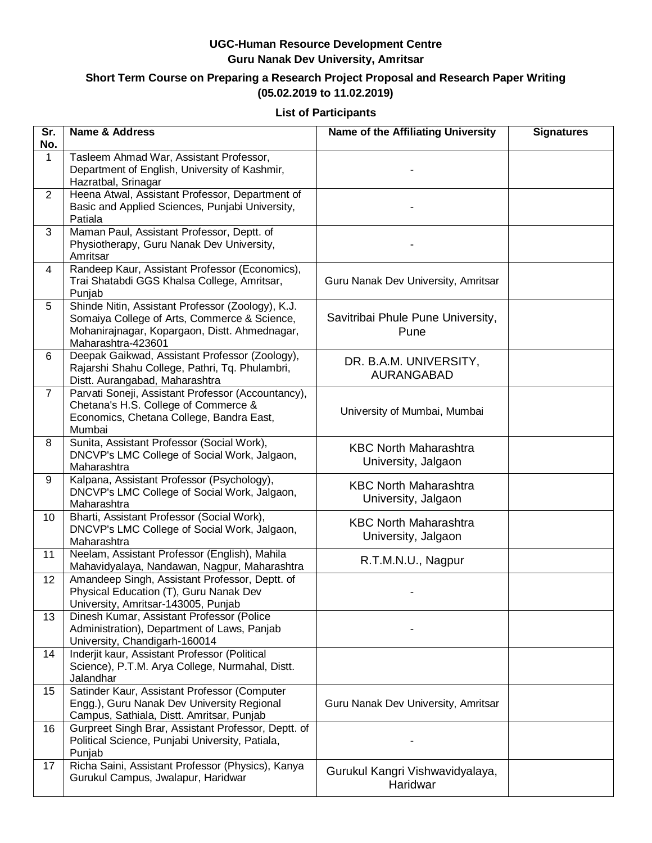#### **Short Term Course on Preparing a Research Project Proposal and Research Paper Writing (05.02.2019 to 11.02.2019)**

#### **List of Participants**

| Sr.<br>No.     | <b>Name &amp; Address</b>                                                                                                                                                | Name of the Affiliating University                  | <b>Signatures</b> |
|----------------|--------------------------------------------------------------------------------------------------------------------------------------------------------------------------|-----------------------------------------------------|-------------------|
| $\mathbf{1}$   | Tasleem Ahmad War, Assistant Professor,<br>Department of English, University of Kashmir,<br>Hazratbal, Srinagar                                                          |                                                     |                   |
| $\overline{2}$ | Heena Atwal, Assistant Professor, Department of<br>Basic and Applied Sciences, Punjabi University,<br>Patiala                                                            |                                                     |                   |
| 3              | Maman Paul, Assistant Professor, Deptt. of<br>Physiotherapy, Guru Nanak Dev University,<br>Amritsar                                                                      |                                                     |                   |
| 4              | Randeep Kaur, Assistant Professor (Economics),<br>Trai Shatabdi GGS Khalsa College, Amritsar,<br>Punjab                                                                  | Guru Nanak Dev University, Amritsar                 |                   |
| 5              | Shinde Nitin, Assistant Professor (Zoology), K.J.<br>Somaiya College of Arts, Commerce & Science,<br>Mohanirajnagar, Kopargaon, Distt. Ahmednagar,<br>Maharashtra-423601 | Savitribai Phule Pune University,<br>Pune           |                   |
| 6              | Deepak Gaikwad, Assistant Professor (Zoology),<br>Rajarshi Shahu College, Pathri, Tq. Phulambri,<br>Distt. Aurangabad, Maharashtra                                       | DR. B.A.M. UNIVERSITY,<br>AURANGABAD                |                   |
| $\overline{7}$ | Parvati Soneji, Assistant Professor (Accountancy),<br>Chetana's H.S. College of Commerce &<br>Economics, Chetana College, Bandra East,<br>Mumbai                         | University of Mumbai, Mumbai                        |                   |
| 8              | Sunita, Assistant Professor (Social Work),<br>DNCVP's LMC College of Social Work, Jalgaon,<br>Maharashtra                                                                | <b>KBC North Maharashtra</b><br>University, Jalgaon |                   |
| 9              | Kalpana, Assistant Professor (Psychology),<br>DNCVP's LMC College of Social Work, Jalgaon,<br>Maharashtra                                                                | <b>KBC North Maharashtra</b><br>University, Jalgaon |                   |
| 10             | Bharti, Assistant Professor (Social Work),<br>DNCVP's LMC College of Social Work, Jalgaon,<br>Maharashtra                                                                | <b>KBC North Maharashtra</b><br>University, Jalgaon |                   |
| 11             | Neelam, Assistant Professor (English), Mahila<br>Mahavidyalaya, Nandawan, Nagpur, Maharashtra                                                                            | R.T.M.N.U., Nagpur                                  |                   |
| 12             | Amandeep Singh, Assistant Professor, Deptt. of<br>Physical Education (T), Guru Nanak Dev<br>University, Amritsar-143005, Punjab                                          |                                                     |                   |
| 13             | Dinesh Kumar, Assistant Professor (Police<br>Administration), Department of Laws, Panjab<br>University, Chandigarh-160014                                                |                                                     |                   |
| 14             | Inderjit kaur, Assistant Professor (Political<br>Science), P.T.M. Arya College, Nurmahal, Distt.<br>Jalandhar                                                            |                                                     |                   |
| 15             | Satinder Kaur, Assistant Professor (Computer<br>Engg.), Guru Nanak Dev University Regional<br>Campus, Sathiala, Distt. Amritsar, Punjab                                  | Guru Nanak Dev University, Amritsar                 |                   |
| 16             | Gurpreet Singh Brar, Assistant Professor, Deptt. of<br>Political Science, Punjabi University, Patiala,<br>Punjab                                                         |                                                     |                   |
| 17             | Richa Saini, Assistant Professor (Physics), Kanya<br>Gurukul Campus, Jwalapur, Haridwar                                                                                  | Gurukul Kangri Vishwavidyalaya,<br>Haridwar         |                   |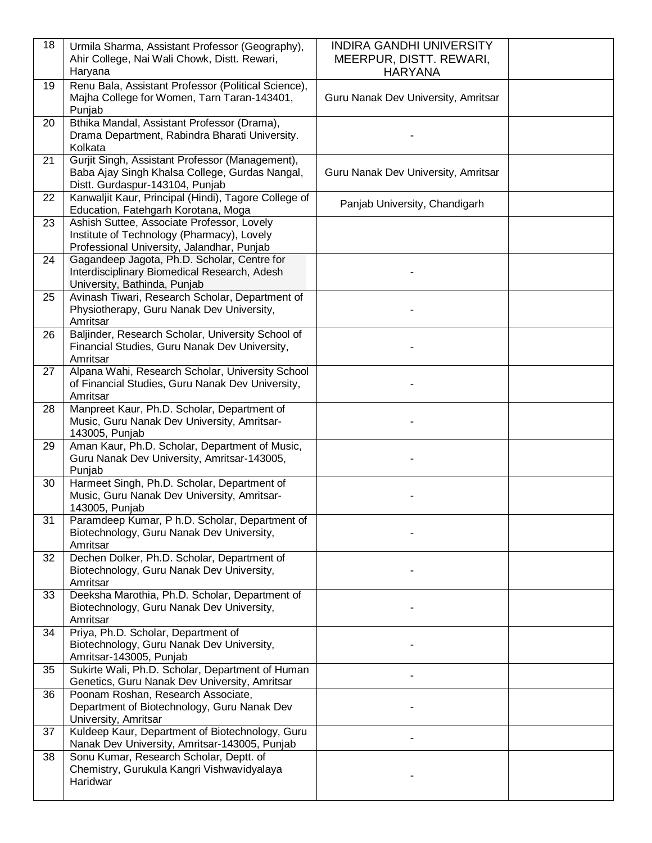| 18 | Urmila Sharma, Assistant Professor (Geography),                      | <b>INDIRA GANDHI UNIVERSITY</b>     |  |
|----|----------------------------------------------------------------------|-------------------------------------|--|
|    | Ahir College, Nai Wali Chowk, Distt. Rewari,                         | MEERPUR, DISTT. REWARI,             |  |
|    | Haryana                                                              | <b>HARYANA</b>                      |  |
| 19 | Renu Bala, Assistant Professor (Political Science),                  |                                     |  |
|    | Majha College for Women, Tarn Taran-143401,                          | Guru Nanak Dev University, Amritsar |  |
|    | Punjab                                                               |                                     |  |
| 20 | Bthika Mandal, Assistant Professor (Drama),                          |                                     |  |
|    | Drama Department, Rabindra Bharati University.                       |                                     |  |
|    | Kolkata                                                              |                                     |  |
| 21 | Gurjit Singh, Assistant Professor (Management),                      |                                     |  |
|    | Baba Ajay Singh Khalsa College, Gurdas Nangal,                       | Guru Nanak Dev University, Amritsar |  |
|    | Distt. Gurdaspur-143104, Punjab                                      |                                     |  |
| 22 | Kanwaljit Kaur, Principal (Hindi), Tagore College of                 |                                     |  |
|    | Education, Fatehgarh Korotana, Moga                                  | Panjab University, Chandigarh       |  |
| 23 | Ashish Suttee, Associate Professor, Lovely                           |                                     |  |
|    | Institute of Technology (Pharmacy), Lovely                           |                                     |  |
|    | Professional University, Jalandhar, Punjab                           |                                     |  |
| 24 | Gagandeep Jagota, Ph.D. Scholar, Centre for                          |                                     |  |
|    | Interdisciplinary Biomedical Research, Adesh                         |                                     |  |
|    | University, Bathinda, Punjab                                         |                                     |  |
| 25 | Avinash Tiwari, Research Scholar, Department of                      |                                     |  |
|    | Physiotherapy, Guru Nanak Dev University,                            |                                     |  |
|    | Amritsar                                                             |                                     |  |
| 26 | Baljinder, Research Scholar, University School of                    |                                     |  |
|    | Financial Studies, Guru Nanak Dev University,                        |                                     |  |
|    | Amritsar                                                             |                                     |  |
| 27 | Alpana Wahi, Research Scholar, University School                     |                                     |  |
|    | of Financial Studies, Guru Nanak Dev University,                     |                                     |  |
|    | Amritsar                                                             |                                     |  |
| 28 | Manpreet Kaur, Ph.D. Scholar, Department of                          |                                     |  |
|    | Music, Guru Nanak Dev University, Amritsar-                          |                                     |  |
|    | 143005, Punjab                                                       |                                     |  |
| 29 | Aman Kaur, Ph.D. Scholar, Department of Music,                       |                                     |  |
|    | Guru Nanak Dev University, Amritsar-143005,                          |                                     |  |
|    | Punjab                                                               |                                     |  |
| 30 | Harmeet Singh, Ph.D. Scholar, Department of                          |                                     |  |
|    | Music, Guru Nanak Dev University, Amritsar-                          |                                     |  |
|    | 143005, Punjab                                                       |                                     |  |
| 31 | Paramdeep Kumar, P h.D. Scholar, Department of                       |                                     |  |
|    | Biotechnology, Guru Nanak Dev University,                            |                                     |  |
|    | Amritsar                                                             |                                     |  |
| 32 | Dechen Dolker, Ph.D. Scholar, Department of                          |                                     |  |
|    | Biotechnology, Guru Nanak Dev University,                            |                                     |  |
|    | Amritsar                                                             |                                     |  |
| 33 | Deeksha Marothia, Ph.D. Scholar, Department of                       |                                     |  |
|    | Biotechnology, Guru Nanak Dev University,                            |                                     |  |
|    | Amritsar                                                             |                                     |  |
| 34 | Priya, Ph.D. Scholar, Department of                                  |                                     |  |
|    | Biotechnology, Guru Nanak Dev University,<br>Amritsar-143005, Punjab |                                     |  |
| 35 | Sukirte Wali, Ph.D. Scholar, Department of Human                     |                                     |  |
|    | Genetics, Guru Nanak Dev University, Amritsar                        |                                     |  |
| 36 | Poonam Roshan, Research Associate,                                   |                                     |  |
|    | Department of Biotechnology, Guru Nanak Dev                          |                                     |  |
|    | University, Amritsar                                                 |                                     |  |
| 37 | Kuldeep Kaur, Department of Biotechnology, Guru                      |                                     |  |
|    | Nanak Dev University, Amritsar-143005, Punjab                        |                                     |  |
| 38 | Sonu Kumar, Research Scholar, Deptt. of                              |                                     |  |
|    | Chemistry, Gurukula Kangri Vishwavidyalaya                           |                                     |  |
|    | Haridwar                                                             |                                     |  |
|    |                                                                      |                                     |  |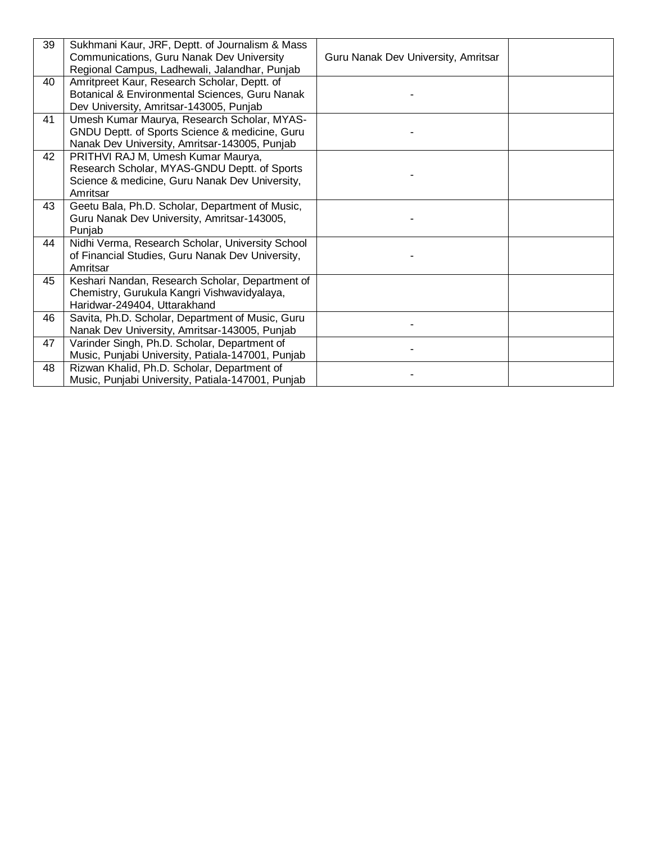| 39 | Sukhmani Kaur, JRF, Deptt. of Journalism & Mass<br>Communications, Guru Nanak Dev University<br>Regional Campus, Ladhewali, Jalandhar, Punjab    | Guru Nanak Dev University, Amritsar |  |
|----|--------------------------------------------------------------------------------------------------------------------------------------------------|-------------------------------------|--|
| 40 | Amritpreet Kaur, Research Scholar, Deptt. of<br>Botanical & Environmental Sciences, Guru Nanak<br>Dev University, Amritsar-143005, Punjab        |                                     |  |
| 41 | Umesh Kumar Maurya, Research Scholar, MYAS-<br>GNDU Deptt. of Sports Science & medicine, Guru<br>Nanak Dev University, Amritsar-143005, Punjab   |                                     |  |
| 42 | PRITHVI RAJ M, Umesh Kumar Maurya,<br>Research Scholar, MYAS-GNDU Deptt. of Sports<br>Science & medicine, Guru Nanak Dev University,<br>Amritsar |                                     |  |
| 43 | Geetu Bala, Ph.D. Scholar, Department of Music,<br>Guru Nanak Dev University, Amritsar-143005,<br>Punjab                                         |                                     |  |
| 44 | Nidhi Verma, Research Scholar, University School<br>of Financial Studies, Guru Nanak Dev University,<br>Amritsar                                 |                                     |  |
| 45 | Keshari Nandan, Research Scholar, Department of<br>Chemistry, Gurukula Kangri Vishwavidyalaya,<br>Haridwar-249404, Uttarakhand                   |                                     |  |
| 46 | Savita, Ph.D. Scholar, Department of Music, Guru<br>Nanak Dev University, Amritsar-143005, Punjab                                                |                                     |  |
| 47 | Varinder Singh, Ph.D. Scholar, Department of<br>Music, Punjabi University, Patiala-147001, Punjab                                                |                                     |  |
| 48 | Rizwan Khalid, Ph.D. Scholar, Department of<br>Music, Punjabi University, Patiala-147001, Punjab                                                 |                                     |  |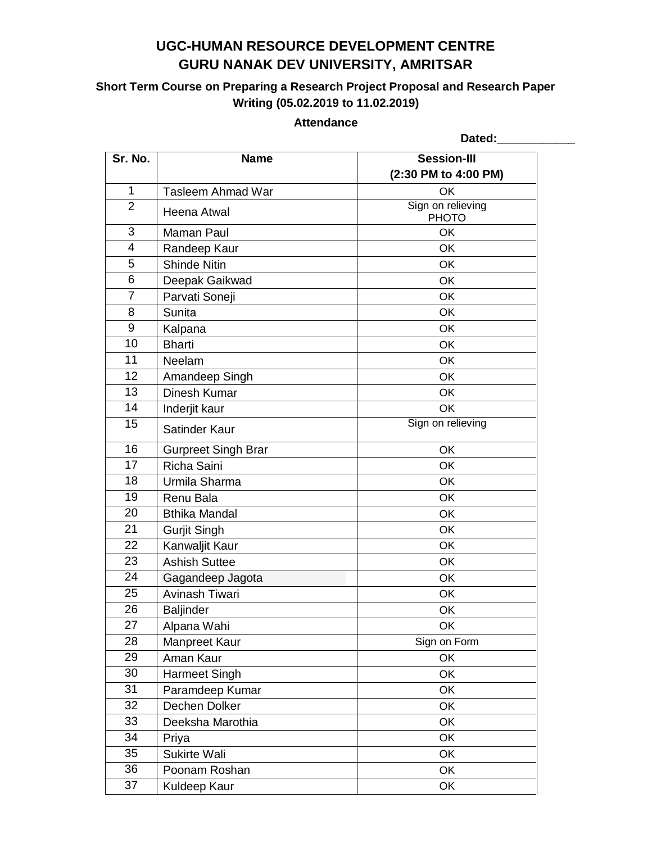### **Short Term Course on Preparing a Research Project Proposal and Research Paper Writing (05.02.2019 to 11.02.2019)**

#### **Attendance**

|                |                            | Dated:                            |
|----------------|----------------------------|-----------------------------------|
| Sr. No.        | <b>Name</b>                | <b>Session-III</b>                |
|                |                            | (2:30 PM to 4:00 PM)              |
| $\mathbf{1}$   | <b>Tasleem Ahmad War</b>   | OK                                |
| $\overline{2}$ | Heena Atwal                | Sign on relieving<br><b>PHOTO</b> |
| 3              | <b>Maman Paul</b>          | OK                                |
| 4              | Randeep Kaur               | OK                                |
| 5              | <b>Shinde Nitin</b>        | OK                                |
| 6              | Deepak Gaikwad             | OK                                |
| $\overline{7}$ | Parvati Soneji             | OK                                |
| 8              | <b>Sunita</b>              | OK                                |
| 9              | Kalpana                    | OK                                |
| 10             | <b>Bharti</b>              | OK                                |
| 11             | Neelam                     | OK                                |
| 12             | Amandeep Singh             | OK                                |
| 13             | Dinesh Kumar               | OK                                |
| 14             | Inderjit kaur              | <b>OK</b>                         |
| 15             | Satinder Kaur              | Sign on relieving                 |
| 16             | <b>Gurpreet Singh Brar</b> | OK                                |
| 17             | Richa Saini                | OK                                |
| 18             | Urmila Sharma              | OK                                |
| 19             | Renu Bala                  | OK                                |
| 20             | <b>Bthika Mandal</b>       | OK                                |
| 21             | <b>Gurjit Singh</b>        | OK                                |
| 22             | Kanwaljit Kaur             | OK                                |
| 23             | <b>Ashish Suttee</b>       | OK                                |
| 24             | Gagandeep Jagota           | OK                                |
| 25             | Avinash Tiwari             | OK                                |
| 26             | Baljinder                  | OK                                |
| 27             | Alpana Wahi                | OK                                |
| 28             | Manpreet Kaur              | Sign on Form                      |
| 29             | Aman Kaur                  | OK                                |
| 30             | Harmeet Singh              | OK                                |
| 31             | Paramdeep Kumar            | OK                                |
| 32             | Dechen Dolker              | OK                                |
| 33             | Deeksha Marothia           | OK                                |
| 34             | Priya                      | OK                                |
| 35             | Sukirte Wali               | OK                                |
| 36             | Poonam Roshan              | OK                                |
| 37             | Kuldeep Kaur               | OK                                |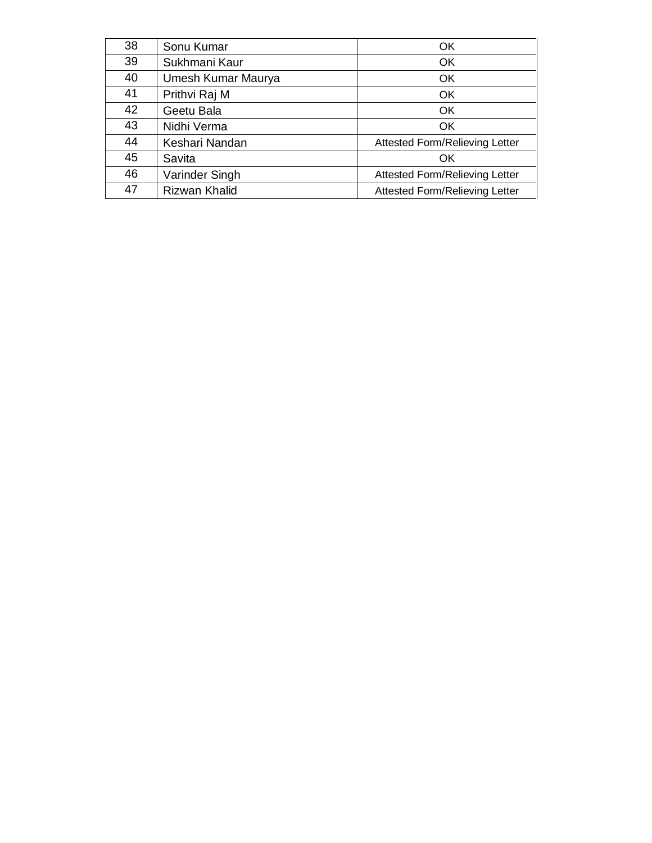| 38 | Sonu Kumar           | OK                                    |
|----|----------------------|---------------------------------------|
| 39 | Sukhmani Kaur        | OK                                    |
| 40 | Umesh Kumar Maurya   | OK                                    |
| 41 | Prithvi Raj M        | OK                                    |
| 42 | Geetu Bala           | OK                                    |
| 43 | Nidhi Verma          | OK                                    |
| 44 | Keshari Nandan       | <b>Attested Form/Relieving Letter</b> |
| 45 | Savita               | OK                                    |
| 46 | Varinder Singh       | <b>Attested Form/Relieving Letter</b> |
| 47 | <b>Rizwan Khalid</b> | <b>Attested Form/Relieving Letter</b> |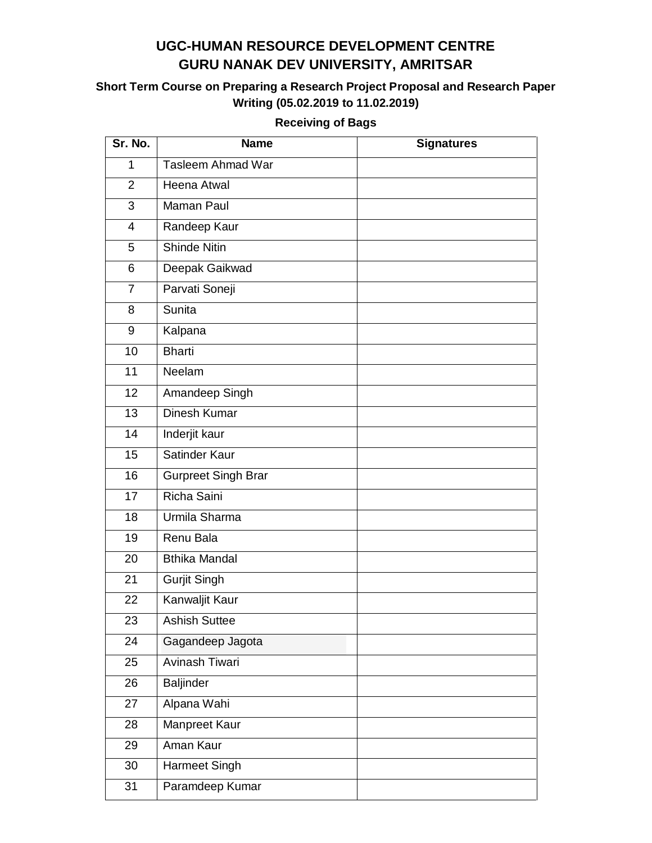### **Short Term Course on Preparing a Research Project Proposal and Research Paper Writing (05.02.2019 to 11.02.2019)**

| Sr. No.        | <b>Name</b>                | <b>Signatures</b> |
|----------------|----------------------------|-------------------|
| 1              | Tasleem Ahmad War          |                   |
| $\overline{2}$ | <b>Heena Atwal</b>         |                   |
| 3              | <b>Maman Paul</b>          |                   |
| $\overline{4}$ | Randeep Kaur               |                   |
| 5              | <b>Shinde Nitin</b>        |                   |
| 6              | Deepak Gaikwad             |                   |
| $\overline{7}$ | Parvati Soneji             |                   |
| 8              | Sunita                     |                   |
| 9              | Kalpana                    |                   |
| 10             | <b>Bharti</b>              |                   |
| 11             | Neelam                     |                   |
| 12             | Amandeep Singh             |                   |
| 13             | <b>Dinesh Kumar</b>        |                   |
| 14             | Inderjit kaur              |                   |
| 15             | Satinder Kaur              |                   |
| 16             | <b>Gurpreet Singh Brar</b> |                   |
| 17             | Richa Saini                |                   |
| 18             | Urmila Sharma              |                   |
| 19             | Renu Bala                  |                   |
| 20             | <b>Bthika Mandal</b>       |                   |
| 21             | <b>Gurjit Singh</b>        |                   |
| 22             | Kanwaljit Kaur             |                   |
| 23             | <b>Ashish Suttee</b>       |                   |
| 24             | Gagandeep Jagota           |                   |
| 25             | Avinash Tiwari             |                   |
| 26             | <b>Baljinder</b>           |                   |
| 27             | Alpana Wahi                |                   |
| 28             | Manpreet Kaur              |                   |
| 29             | Aman Kaur                  |                   |
| 30             | Harmeet Singh              |                   |
| 31             | Paramdeep Kumar            |                   |

#### **Receiving of Bags**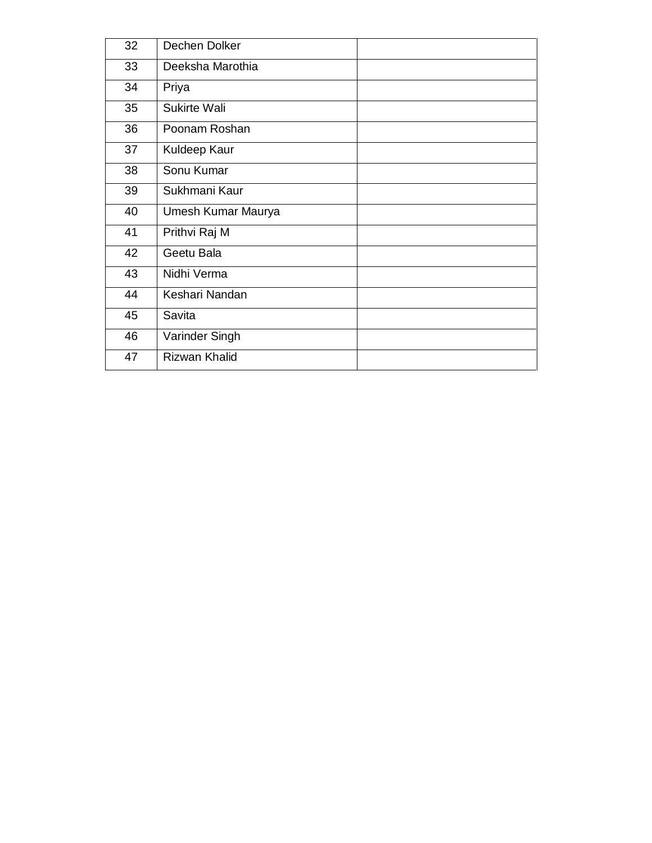| 32 | Dechen Dolker        |  |
|----|----------------------|--|
| 33 | Deeksha Marothia     |  |
| 34 | Priya                |  |
| 35 | <b>Sukirte Wali</b>  |  |
| 36 | Poonam Roshan        |  |
| 37 | Kuldeep Kaur         |  |
| 38 | Sonu Kumar           |  |
| 39 | Sukhmani Kaur        |  |
| 40 | Umesh Kumar Maurya   |  |
| 41 | Prithvi Raj M        |  |
| 42 | Geetu Bala           |  |
| 43 | Nidhi Verma          |  |
| 44 | Keshari Nandan       |  |
| 45 | Savita               |  |
| 46 | Varinder Singh       |  |
| 47 | <b>Rizwan Khalid</b> |  |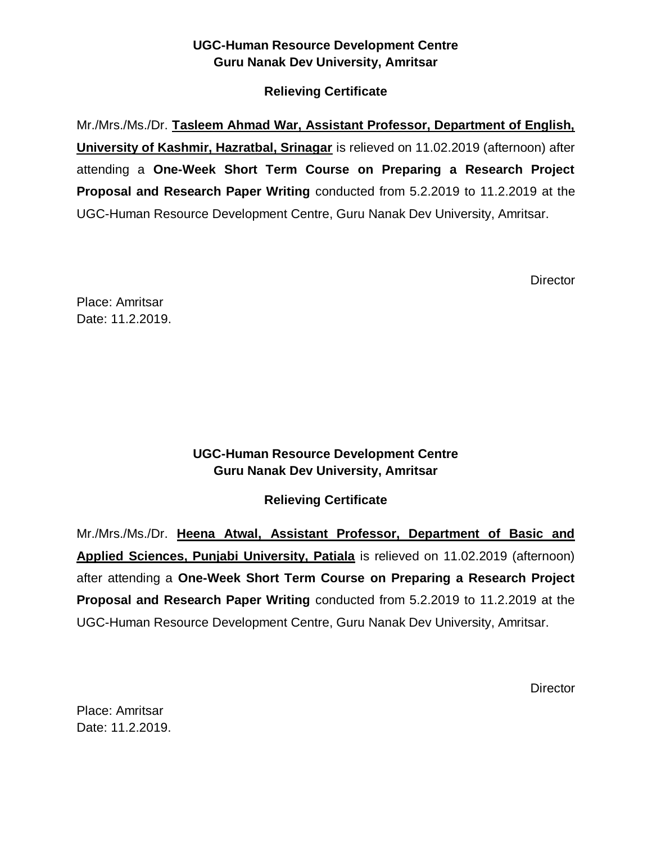### **Relieving Certificate**

Mr./Mrs./Ms./Dr. **Tasleem Ahmad War, Assistant Professor, Department of English, University of Kashmir, Hazratbal, Srinagar** is relieved on 11.02.2019 (afternoon) after attending a **One-Week Short Term Course on Preparing a Research Project Proposal and Research Paper Writing** conducted from 5.2.2019 to 11.2.2019 at the UGC-Human Resource Development Centre, Guru Nanak Dev University, Amritsar.

**Director** 

Place: Amritsar Date: 11.2.2019.

### **UGC-Human Resource Development Centre Guru Nanak Dev University, Amritsar**

**Relieving Certificate**

Mr./Mrs./Ms./Dr. **Heena Atwal, Assistant Professor, Department of Basic and Applied Sciences, Punjabi University, Patiala** is relieved on 11.02.2019 (afternoon) after attending a **One-Week Short Term Course on Preparing a Research Project Proposal and Research Paper Writing** conducted from 5.2.2019 to 11.2.2019 at the UGC-Human Resource Development Centre, Guru Nanak Dev University, Amritsar.

**Director**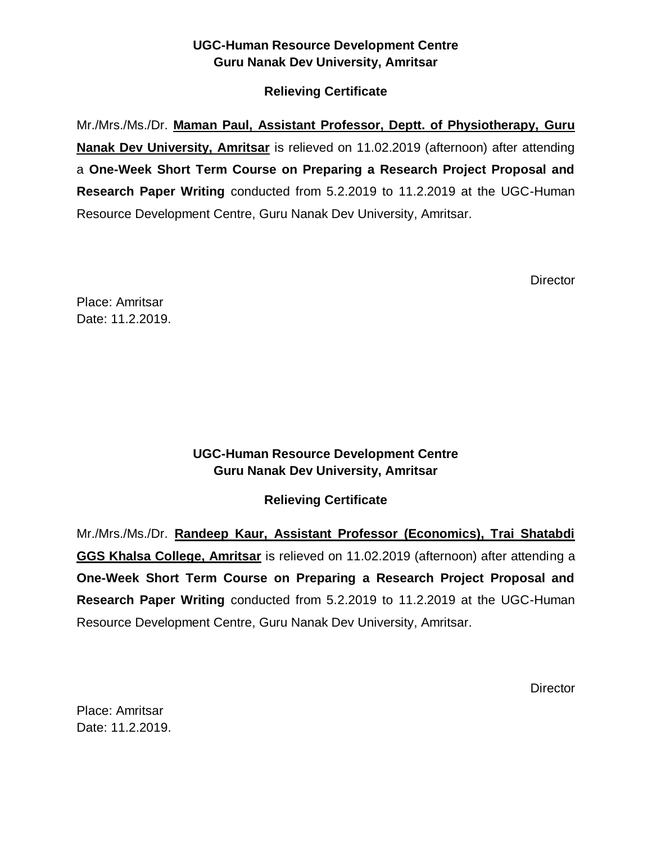### **Relieving Certificate**

Mr./Mrs./Ms./Dr. **Maman Paul, Assistant Professor, Deptt. of Physiotherapy, Guru Nanak Dev University, Amritsar** is relieved on 11.02.2019 (afternoon) after attending a **One-Week Short Term Course on Preparing a Research Project Proposal and Research Paper Writing** conducted from 5.2.2019 to 11.2.2019 at the UGC-Human Resource Development Centre, Guru Nanak Dev University, Amritsar.

**Director** 

Place: Amritsar Date: 11.2.2019.

### **UGC-Human Resource Development Centre Guru Nanak Dev University, Amritsar**

### **Relieving Certificate**

Mr./Mrs./Ms./Dr. **Randeep Kaur, Assistant Professor (Economics), Trai Shatabdi GGS Khalsa College, Amritsar** is relieved on 11.02.2019 (afternoon) after attending a **One-Week Short Term Course on Preparing a Research Project Proposal and Research Paper Writing** conducted from 5.2.2019 to 11.2.2019 at the UGC-Human Resource Development Centre, Guru Nanak Dev University, Amritsar.

**Director**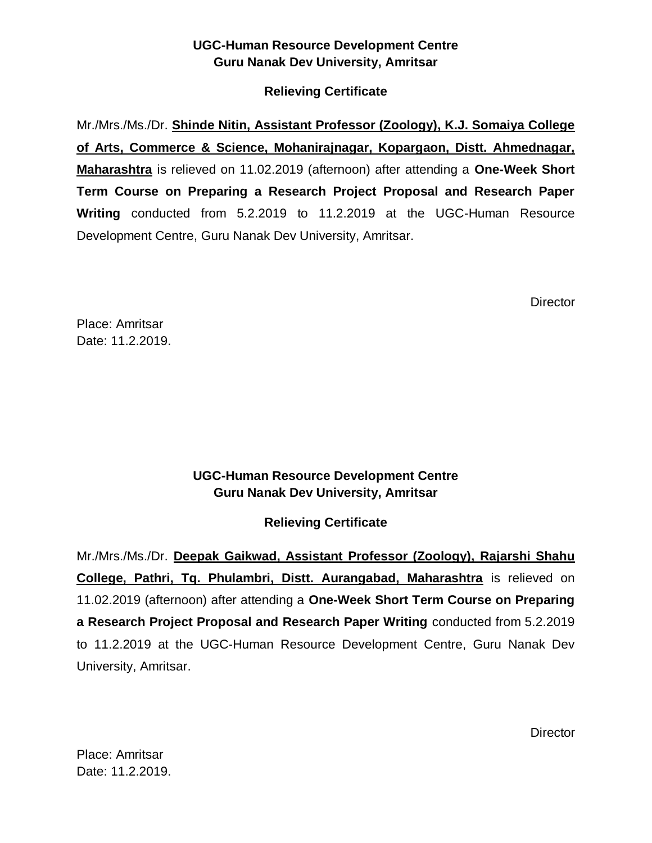#### **Relieving Certificate**

Mr./Mrs./Ms./Dr. **Shinde Nitin, Assistant Professor (Zoology), K.J. Somaiya College of Arts, Commerce & Science, Mohanirajnagar, Kopargaon, Distt. Ahmednagar, Maharashtra** is relieved on 11.02.2019 (afternoon) after attending a **One-Week Short Term Course on Preparing a Research Project Proposal and Research Paper Writing** conducted from 5.2.2019 to 11.2.2019 at the UGC-Human Resource Development Centre, Guru Nanak Dev University, Amritsar.

**Director** 

Place: Amritsar Date: 11.2.2019.

### **UGC-Human Resource Development Centre Guru Nanak Dev University, Amritsar**

### **Relieving Certificate**

Mr./Mrs./Ms./Dr. **Deepak Gaikwad, Assistant Professor (Zoology), Rajarshi Shahu College, Pathri, Tq. Phulambri, Distt. Aurangabad, Maharashtra** is relieved on 11.02.2019 (afternoon) after attending a **One-Week Short Term Course on Preparing a Research Project Proposal and Research Paper Writing** conducted from 5.2.2019 to 11.2.2019 at the UGC-Human Resource Development Centre, Guru Nanak Dev University, Amritsar.

**Director**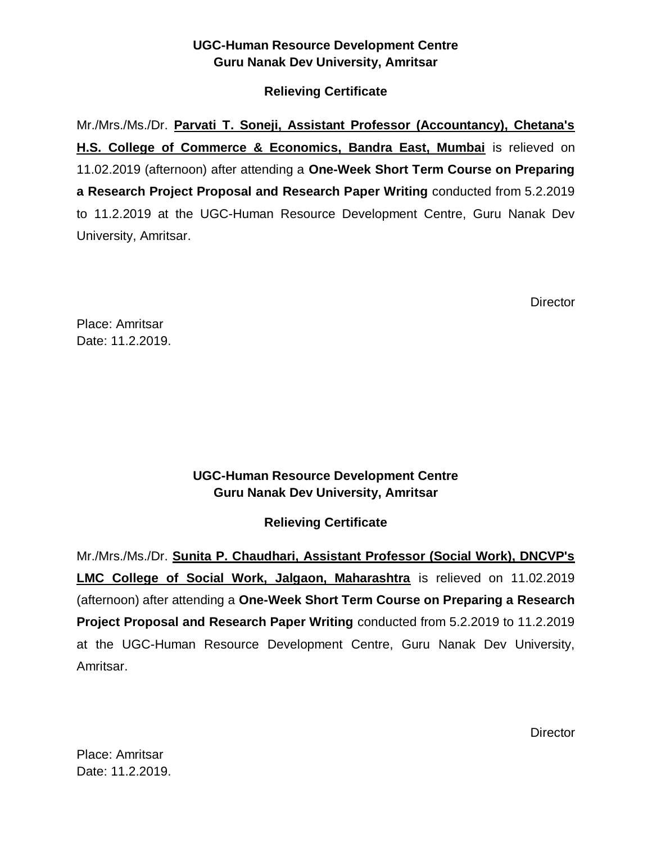### **Relieving Certificate**

Mr./Mrs./Ms./Dr. **Parvati T. Soneji, Assistant Professor (Accountancy), Chetana's H.S. College of Commerce & Economics, Bandra East, Mumbai** is relieved on 11.02.2019 (afternoon) after attending a **One-Week Short Term Course on Preparing a Research Project Proposal and Research Paper Writing** conducted from 5.2.2019 to 11.2.2019 at the UGC-Human Resource Development Centre, Guru Nanak Dev University, Amritsar.

**Director** 

Place: Amritsar Date: 11.2.2019.

### **UGC-Human Resource Development Centre Guru Nanak Dev University, Amritsar**

### **Relieving Certificate**

Mr./Mrs./Ms./Dr. **Sunita P. Chaudhari, Assistant Professor (Social Work), DNCVP's LMC College of Social Work, Jalgaon, Maharashtra** is relieved on 11.02.2019 (afternoon) after attending a **One-Week Short Term Course on Preparing a Research Project Proposal and Research Paper Writing** conducted from 5.2.2019 to 11.2.2019 at the UGC-Human Resource Development Centre, Guru Nanak Dev University, Amritsar.

**Director**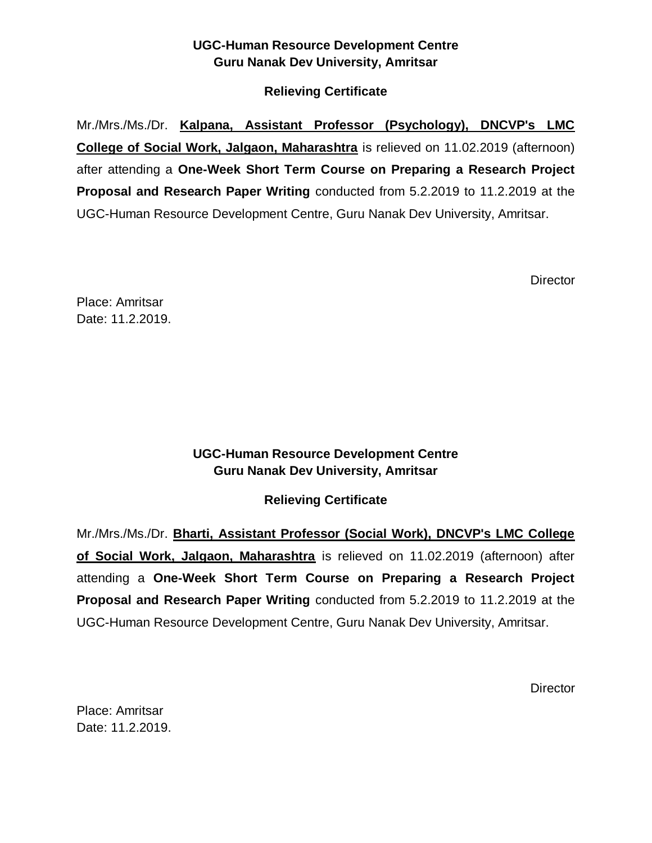### **Relieving Certificate**

Mr./Mrs./Ms./Dr. **Kalpana, Assistant Professor (Psychology), DNCVP's LMC College of Social Work, Jalgaon, Maharashtra** is relieved on 11.02.2019 (afternoon) after attending a **One-Week Short Term Course on Preparing a Research Project Proposal and Research Paper Writing** conducted from 5.2.2019 to 11.2.2019 at the UGC-Human Resource Development Centre, Guru Nanak Dev University, Amritsar.

**Director** 

Place: Amritsar Date: 11.2.2019.

### **UGC-Human Resource Development Centre Guru Nanak Dev University, Amritsar**

### **Relieving Certificate**

Mr./Mrs./Ms./Dr. **Bharti, Assistant Professor (Social Work), DNCVP's LMC College of Social Work, Jalgaon, Maharashtra** is relieved on 11.02.2019 (afternoon) after attending a **One-Week Short Term Course on Preparing a Research Project Proposal and Research Paper Writing** conducted from 5.2.2019 to 11.2.2019 at the UGC-Human Resource Development Centre, Guru Nanak Dev University, Amritsar.

**Director**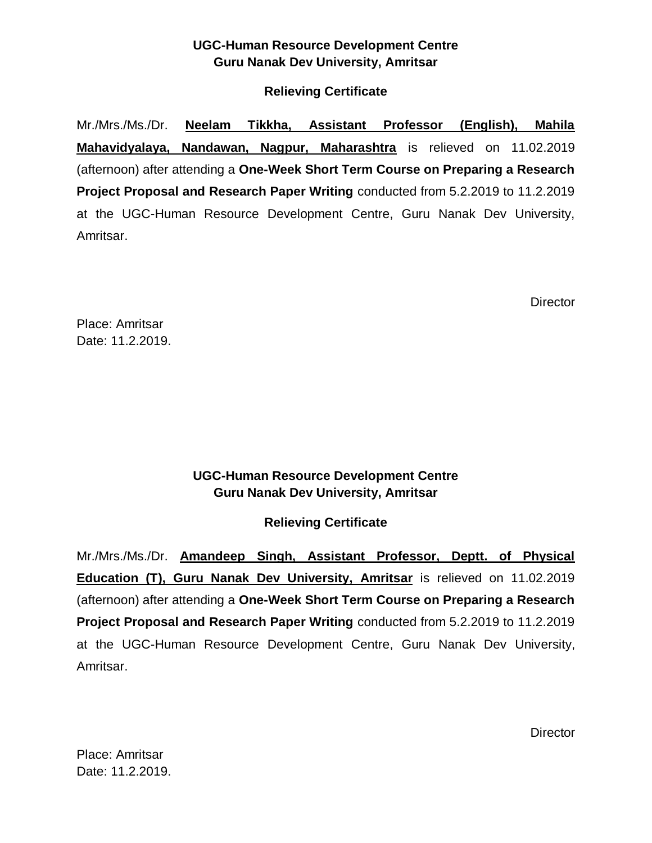#### **Relieving Certificate**

Mr./Mrs./Ms./Dr. **Neelam Tikkha, Assistant Professor (English), Mahila Mahavidyalaya, Nandawan, Nagpur, Maharashtra** is relieved on 11.02.2019 (afternoon) after attending a **One-Week Short Term Course on Preparing a Research Project Proposal and Research Paper Writing** conducted from 5.2.2019 to 11.2.2019 at the UGC-Human Resource Development Centre, Guru Nanak Dev University, Amritsar.

**Director** 

Place: Amritsar Date: 11.2.2019.

### **UGC-Human Resource Development Centre Guru Nanak Dev University, Amritsar**

### **Relieving Certificate**

Mr./Mrs./Ms./Dr. **Amandeep Singh, Assistant Professor, Deptt. of Physical Education (T), Guru Nanak Dev University, Amritsar** is relieved on 11.02.2019 (afternoon) after attending a **One-Week Short Term Course on Preparing a Research Project Proposal and Research Paper Writing** conducted from 5.2.2019 to 11.2.2019 at the UGC-Human Resource Development Centre, Guru Nanak Dev University, Amritsar.

**Director**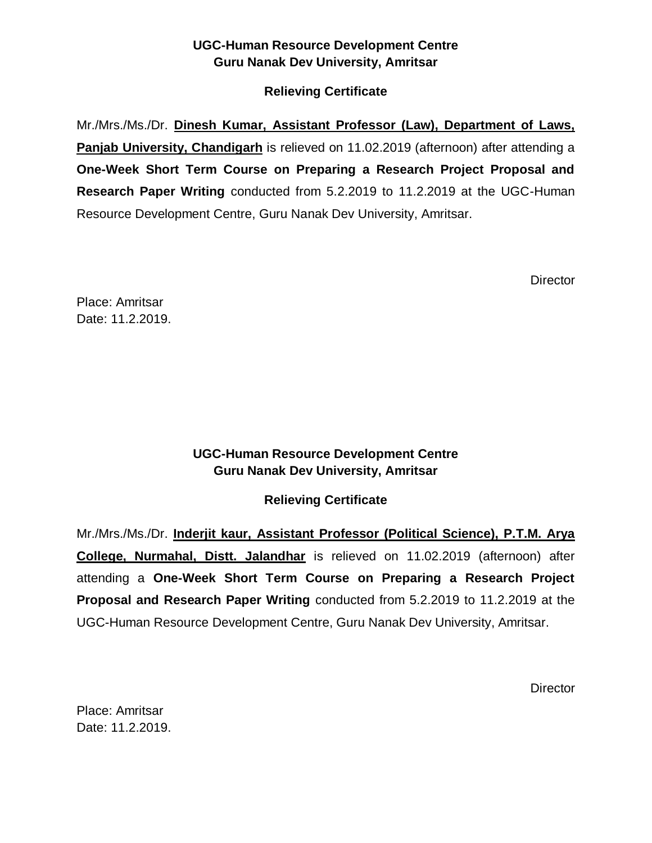### **Relieving Certificate**

Mr./Mrs./Ms./Dr. **Dinesh Kumar, Assistant Professor (Law), Department of Laws, Panjab University, Chandigarh** is relieved on 11.02.2019 (afternoon) after attending a **One-Week Short Term Course on Preparing a Research Project Proposal and Research Paper Writing** conducted from 5.2.2019 to 11.2.2019 at the UGC-Human Resource Development Centre, Guru Nanak Dev University, Amritsar.

**Director** 

Place: Amritsar Date: 11.2.2019.

### **UGC-Human Resource Development Centre Guru Nanak Dev University, Amritsar**

### **Relieving Certificate**

Mr./Mrs./Ms./Dr. **Inderjit kaur, Assistant Professor (Political Science), P.T.M. Arya College, Nurmahal, Distt. Jalandhar** is relieved on 11.02.2019 (afternoon) after attending a **One-Week Short Term Course on Preparing a Research Project Proposal and Research Paper Writing** conducted from 5.2.2019 to 11.2.2019 at the UGC-Human Resource Development Centre, Guru Nanak Dev University, Amritsar.

**Director**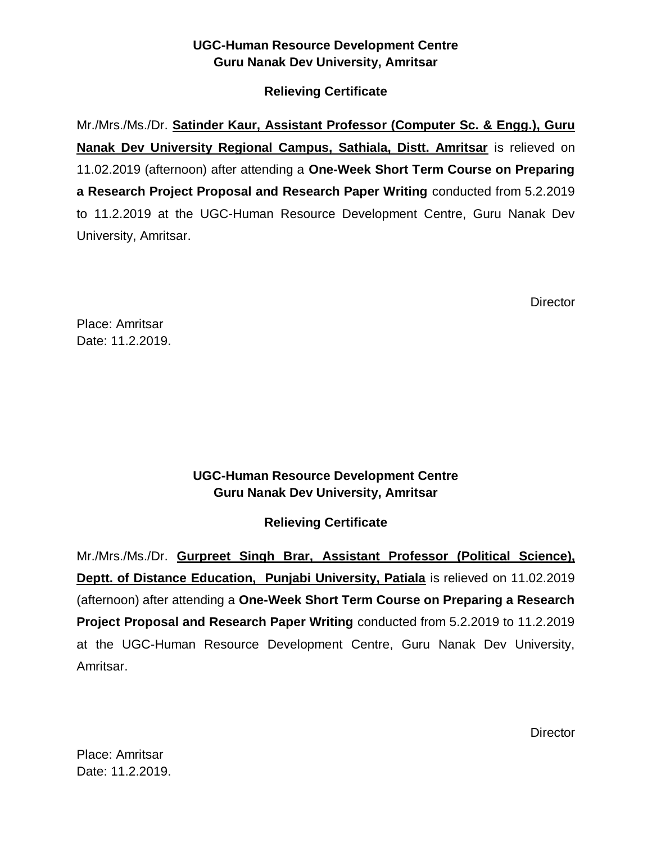### **Relieving Certificate**

Mr./Mrs./Ms./Dr. **Satinder Kaur, Assistant Professor (Computer Sc. & Engg.), Guru Nanak Dev University Regional Campus, Sathiala, Distt. Amritsar** is relieved on 11.02.2019 (afternoon) after attending a **One-Week Short Term Course on Preparing a Research Project Proposal and Research Paper Writing** conducted from 5.2.2019 to 11.2.2019 at the UGC-Human Resource Development Centre, Guru Nanak Dev University, Amritsar.

**Director** 

Place: Amritsar Date: 11.2.2019.

### **UGC-Human Resource Development Centre Guru Nanak Dev University, Amritsar**

## **Relieving Certificate**

Mr./Mrs./Ms./Dr. **Gurpreet Singh Brar, Assistant Professor (Political Science), Deptt. of Distance Education, Punjabi University, Patiala** is relieved on 11.02.2019 (afternoon) after attending a **One-Week Short Term Course on Preparing a Research Project Proposal and Research Paper Writing** conducted from 5.2.2019 to 11.2.2019 at the UGC-Human Resource Development Centre, Guru Nanak Dev University, Amritsar.

**Director**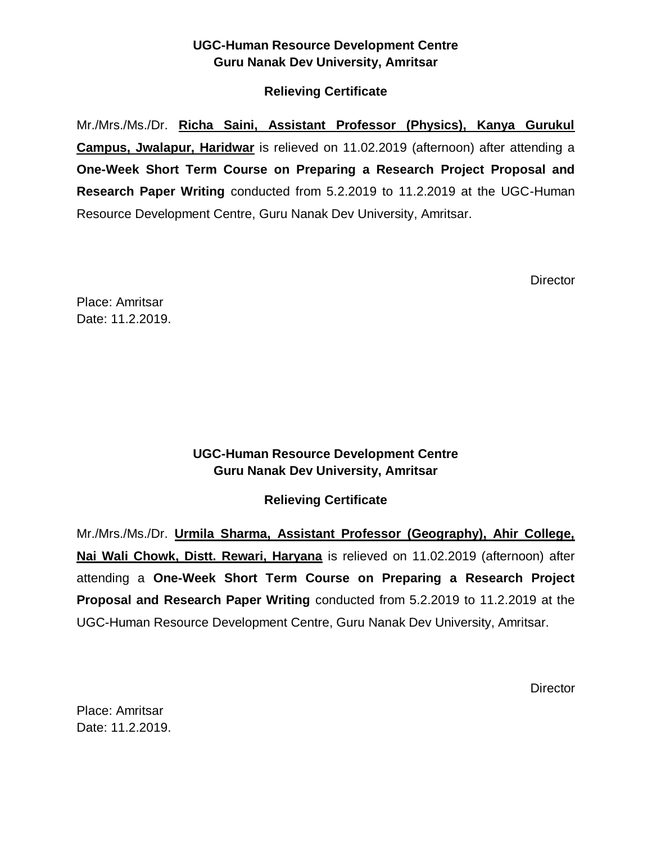### **Relieving Certificate**

Mr./Mrs./Ms./Dr. **Richa Saini, Assistant Professor (Physics), Kanya Gurukul Campus, Jwalapur, Haridwar** is relieved on 11.02.2019 (afternoon) after attending a **One-Week Short Term Course on Preparing a Research Project Proposal and Research Paper Writing** conducted from 5.2.2019 to 11.2.2019 at the UGC-Human Resource Development Centre, Guru Nanak Dev University, Amritsar.

**Director** 

Place: Amritsar Date: 11.2.2019.

### **UGC-Human Resource Development Centre Guru Nanak Dev University, Amritsar**

### **Relieving Certificate**

Mr./Mrs./Ms./Dr. **Urmila Sharma, Assistant Professor (Geography), Ahir College, Nai Wali Chowk, Distt. Rewari, Haryana** is relieved on 11.02.2019 (afternoon) after attending a **One-Week Short Term Course on Preparing a Research Project Proposal and Research Paper Writing** conducted from 5.2.2019 to 11.2.2019 at the UGC-Human Resource Development Centre, Guru Nanak Dev University, Amritsar.

**Director**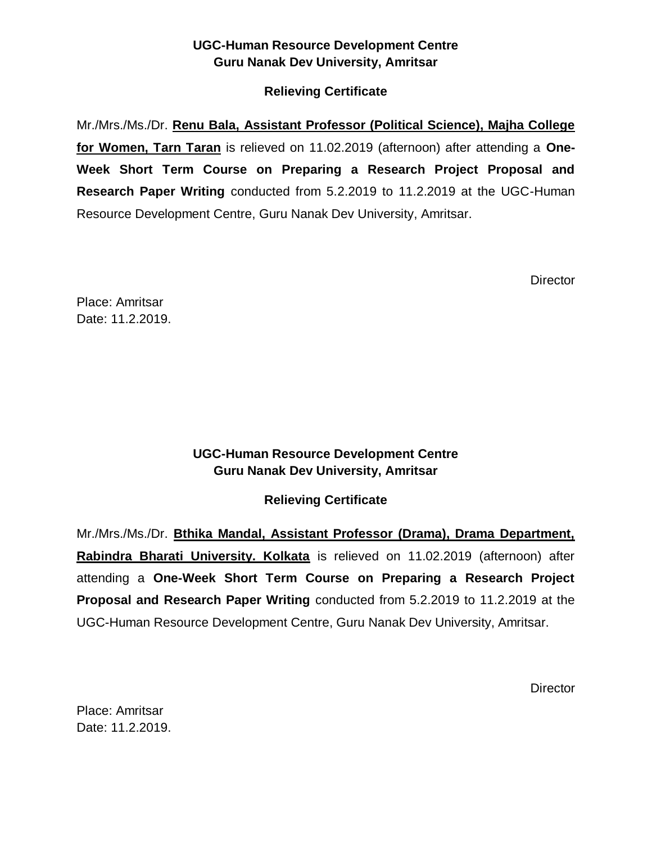### **Relieving Certificate**

Mr./Mrs./Ms./Dr. **Renu Bala, Assistant Professor (Political Science), Majha College for Women, Tarn Taran** is relieved on 11.02.2019 (afternoon) after attending a **One-Week Short Term Course on Preparing a Research Project Proposal and Research Paper Writing** conducted from 5.2.2019 to 11.2.2019 at the UGC-Human Resource Development Centre, Guru Nanak Dev University, Amritsar.

**Director** 

Place: Amritsar Date: 11.2.2019.

### **UGC-Human Resource Development Centre Guru Nanak Dev University, Amritsar**

### **Relieving Certificate**

Mr./Mrs./Ms./Dr. **Bthika Mandal, Assistant Professor (Drama), Drama Department, Rabindra Bharati University. Kolkata** is relieved on 11.02.2019 (afternoon) after attending a **One-Week Short Term Course on Preparing a Research Project Proposal and Research Paper Writing** conducted from 5.2.2019 to 11.2.2019 at the UGC-Human Resource Development Centre, Guru Nanak Dev University, Amritsar.

**Director**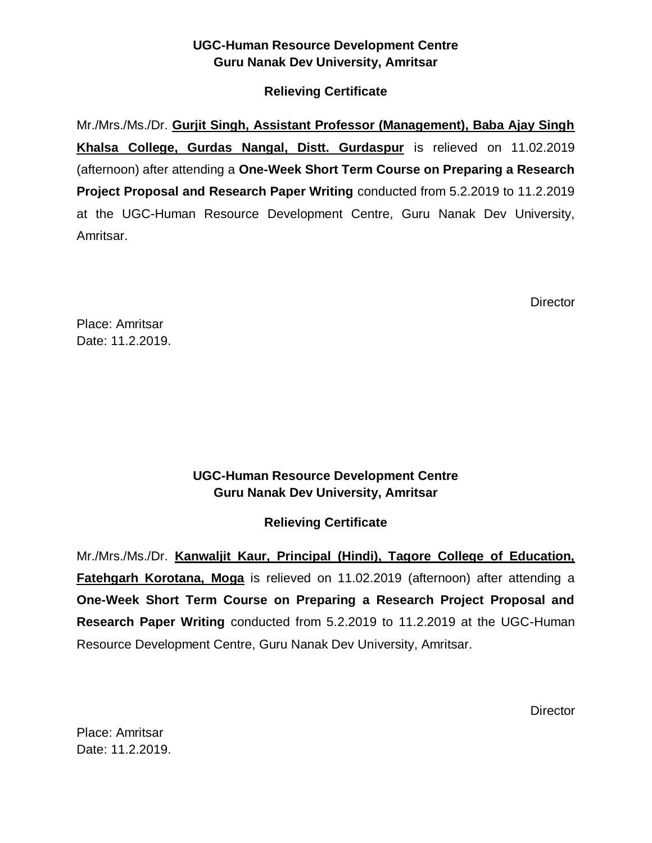#### **Relieving Certificate**

Mr./Mrs./Ms./Dr. **Gurjit Singh, Assistant Professor (Management), Baba Ajay Singh Khalsa College, Gurdas Nangal, Distt. Gurdaspur** is relieved on 11.02.2019 (afternoon) after attending a **One-Week Short Term Course on Preparing a Research Project Proposal and Research Paper Writing** conducted from 5.2.2019 to 11.2.2019 at the UGC-Human Resource Development Centre, Guru Nanak Dev University, Amritsar.

**Director** 

Place: Amritsar Date: 11.2.2019.

### **UGC-Human Resource Development Centre Guru Nanak Dev University, Amritsar**

### **Relieving Certificate**

Mr./Mrs./Ms./Dr. **Kanwaljit Kaur, Principal (Hindi), Tagore College of Education, Fatehgarh Korotana, Moga** is relieved on 11.02.2019 (afternoon) after attending a **One-Week Short Term Course on Preparing a Research Project Proposal and Research Paper Writing** conducted from 5.2.2019 to 11.2.2019 at the UGC-Human Resource Development Centre, Guru Nanak Dev University, Amritsar.

**Director**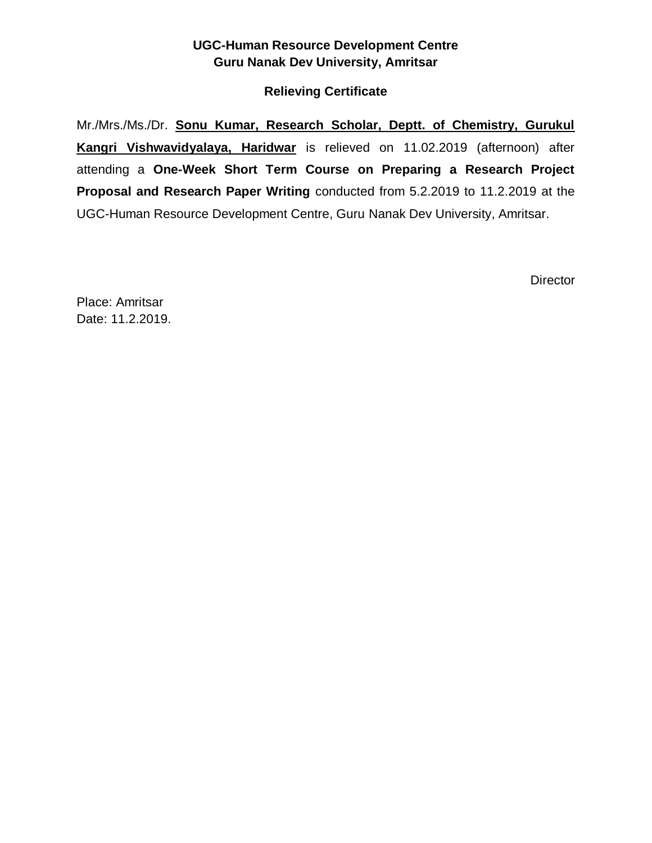#### **Relieving Certificate**

Mr./Mrs./Ms./Dr. **Sonu Kumar, Research Scholar, Deptt. of Chemistry, Gurukul Kangri Vishwavidyalaya, Haridwar** is relieved on 11.02.2019 (afternoon) after attending a **One-Week Short Term Course on Preparing a Research Project Proposal and Research Paper Writing** conducted from 5.2.2019 to 11.2.2019 at the UGC-Human Resource Development Centre, Guru Nanak Dev University, Amritsar.

**Director**